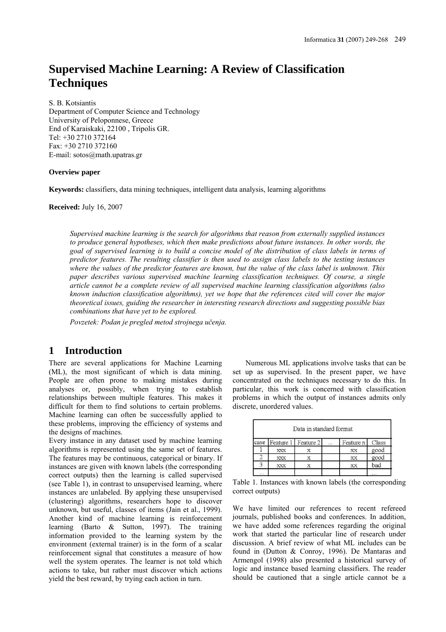# **Supervised Machine Learning: A Review of Classification Techniques**

S. B. Kotsiantis

Department of Computer Science and Technology University of Peloponnese, Greece End of Karaiskaki, 22100 , Tripolis GR. Tel: +30 2710 372164 Fax: +30 2710 372160 E-mail: sotos@math.upatras.gr

#### **Overview paper**

**Keywords:** classifiers, data mining techniques, intelligent data analysis, learning algorithms

**Received:** July 16, 2007

*Supervised machine learning is the search for algorithms that reason from externally supplied instances to produce general hypotheses, which then make predictions about future instances. In other words, the goal of supervised learning is to build a concise model of the distribution of class labels in terms of predictor features. The resulting classifier is then used to assign class labels to the testing instances where the values of the predictor features are known, but the value of the class label is unknown. This paper describes various supervised machine learning classification techniques. Of course, a single article cannot be a complete review of all supervised machine learning classification algorithms (also known induction classification algorithms), yet we hope that the references cited will cover the major theoretical issues, guiding the researcher in interesting research directions and suggesting possible bias combinations that have yet to be explored.* 

*Povzetek: Podan je pregled metod strojnega učenja.* 

# **1 Introduction**

There are several applications for Machine Learning (ML), the most significant of which is data mining. People are often prone to making mistakes during analyses or, possibly, when trying to establish relationships between multiple features. This makes it difficult for them to find solutions to certain problems. Machine learning can often be successfully applied to these problems, improving the efficiency of systems and the designs of machines.

Every instance in any dataset used by machine learning algorithms is represented using the same set of features. The features may be continuous, categorical or binary. If instances are given with known labels (the corresponding correct outputs) then the learning is called supervised (see Table 1), in contrast to unsupervised learning, where instances are unlabeled. By applying these unsupervised (clustering) algorithms, researchers hope to discover unknown, but useful, classes of items (Jain et al., 1999). Another kind of machine learning is reinforcement learning (Barto & Sutton, 1997). The training information provided to the learning system by the environment (external trainer) is in the form of a scalar reinforcement signal that constitutes a measure of how well the system operates. The learner is not told which actions to take, but rather must discover which actions yield the best reward, by trying each action in turn.

Numerous ML applications involve tasks that can be set up as supervised. In the present paper, we have concentrated on the techniques necessary to do this. In particular, this work is concerned with classification problems in which the output of instances admits only discrete, unordered values.

| Data in standard format |            |                       |          |           |       |  |
|-------------------------|------------|-----------------------|----------|-----------|-------|--|
| case                    |            | Feature 1   Feature 2 | $\cdots$ | Feature n | Class |  |
|                         | <b>XXX</b> |                       |          | XX        | good  |  |
|                         | XXX        |                       |          | XX        | good  |  |
|                         | XXX        |                       |          | XX        | bad   |  |
| $\cdots$                |            |                       |          |           |       |  |

Table 1. Instances with known labels (the corresponding correct outputs)

We have limited our references to recent refereed journals, published books and conferences. In addition, we have added some references regarding the original work that started the particular line of research under discussion. A brief review of what ML includes can be found in (Dutton & Conroy, 1996). De Mantaras and Armengol (1998) also presented a historical survey of logic and instance based learning classifiers. The reader should be cautioned that a single article cannot be a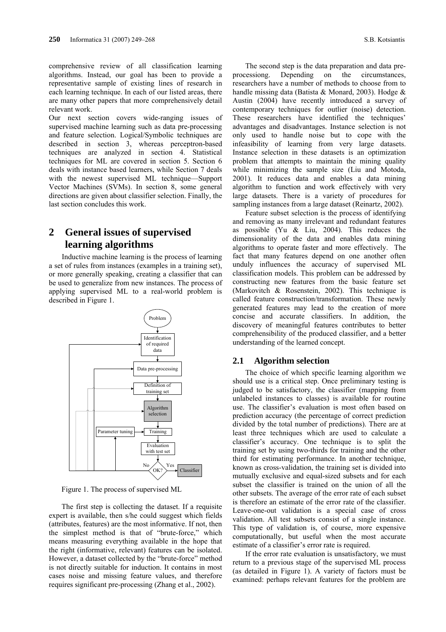comprehensive review of all classification learning algorithms. Instead, our goal has been to provide a representative sample of existing lines of research in each learning technique. In each of our listed areas, there are many other papers that more comprehensively detail relevant work.

Our next section covers wide-ranging issues of supervised machine learning such as data pre-processing and feature selection. Logical/Symbolic techniques are described in section 3, whereas perceptron-based techniques are analyzed in section 4. Statistical techniques for ML are covered in section 5. Section 6 deals with instance based learners, while Section 7 deals with the newest supervised ML technique—Support Vector Machines (SVMs). In section 8, some general directions are given about classifier selection. Finally, the last section concludes this work.

# **2 General issues of supervised learning algorithms**

Inductive machine learning is the process of learning a set of rules from instances (examples in a training set), or more generally speaking, creating a classifier that can be used to generalize from new instances. The process of applying supervised ML to a real-world problem is described in Figure 1.



Figure 1. The process of supervised ML

The first step is collecting the dataset. If a requisite expert is available, then s/he could suggest which fields (attributes, features) are the most informative. If not, then the simplest method is that of "brute-force," which means measuring everything available in the hope that the right (informative, relevant) features can be isolated. However, a dataset collected by the "brute-force" method is not directly suitable for induction. It contains in most cases noise and missing feature values, and therefore requires significant pre-processing (Zhang et al., 2002).

The second step is the data preparation and data preprocessiong. Depending on the circumstances, researchers have a number of methods to choose from to handle missing data (Batista & Monard, 2003). Hodge & Austin (2004) have recently introduced a survey of contemporary techniques for outlier (noise) detection. These researchers have identified the techniques' advantages and disadvantages. Instance selection is not only used to handle noise but to cope with the infeasibility of learning from very large datasets. Instance selection in these datasets is an optimization problem that attempts to maintain the mining quality while minimizing the sample size (Liu and Motoda, 2001). It reduces data and enables a data mining algorithm to function and work effectively with very large datasets. There is a variety of procedures for sampling instances from a large dataset (Reinartz, 2002).

Feature subset selection is the process of identifying and removing as many irrelevant and redundant features as possible (Yu & Liu, 2004). This reduces the dimensionality of the data and enables data mining algorithms to operate faster and more effectively. The fact that many features depend on one another often unduly influences the accuracy of supervised ML classification models. This problem can be addressed by constructing new features from the basic feature set (Markovitch & Rosenstein, 2002). This technique is called feature construction/transformation. These newly generated features may lead to the creation of more concise and accurate classifiers. In addition, the discovery of meaningful features contributes to better comprehensibility of the produced classifier, and a better understanding of the learned concept.

### **2.1 Algorithm selection**

The choice of which specific learning algorithm we should use is a critical step. Once preliminary testing is judged to be satisfactory, the classifier (mapping from unlabeled instances to classes) is available for routine use. The classifier's evaluation is most often based on prediction accuracy (the percentage of correct prediction divided by the total number of predictions). There are at least three techniques which are used to calculate a classifier's accuracy. One technique is to split the training set by using two-thirds for training and the other third for estimating performance. In another technique, known as cross-validation, the training set is divided into mutually exclusive and equal-sized subsets and for each subset the classifier is trained on the union of all the other subsets. The average of the error rate of each subset is therefore an estimate of the error rate of the classifier. Leave-one-out validation is a special case of cross validation. All test subsets consist of a single instance. This type of validation is, of course, more expensive computationally, but useful when the most accurate estimate of a classifier's error rate is required.

If the error rate evaluation is unsatisfactory, we must return to a previous stage of the supervised ML process (as detailed in Figure 1). A variety of factors must be examined: perhaps relevant features for the problem are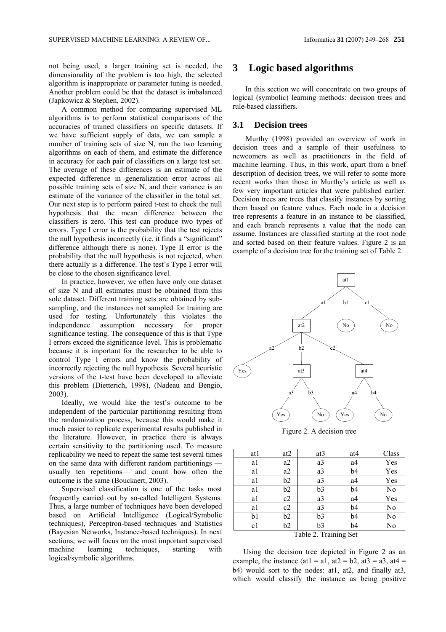not being used, a larger training set is needed, the dimensionality of the problem is too high, the selected algorithm is inappropriate or parameter tuning is needed. Another problem could be that the dataset is imbalanced (Japkowicz & Stephen, 2002).

A common method for comparing supervised ML algorithms is to perform statistical comparisons of the accuracies of trained classifiers on specific datasets. If we have sufficient supply of data, we can sample a number of training sets of size N, run the two learning algorithms on each of them, and estimate the difference in accuracy for each pair of classifiers on a large test set. The average of these differences is an estimate of the expected difference in generalization error across all possible training sets of size N, and their variance is an estimate of the variance of the classifier in the total set. Our next step is to perform paired t-test to check the null hypothesis that the mean difference between the classifiers is zero. This test can produce two types of errors. Type I error is the probability that the test rejects the null hypothesis incorrectly (i.e. it finds a "significant" difference although there is none). Type II error is the probability that the null hypothesis is not rejected, when there actually is a difference. The test's Type I error will be close to the chosen significance level.

In practice, however, we often have only one dataset of size N and all estimates must be obtained from this sole dataset. Different training sets are obtained by subsampling, and the instances not sampled for training are used for testing. Unfortunately this violates the independence assumption necessary for proper significance testing. The consequence of this is that Type I errors exceed the significance level. This is problematic because it is important for the researcher to be able to control Type I errors and know the probability of incorrectly rejecting the null hypothesis. Several heuristic versions of the t-test have been developed to alleviate this problem (Dietterich, 1998), (Nadeau and Bengio, 2003).

Ideally, we would like the test's outcome to be independent of the particular partitioning resulting from the randomization process, because this would make it much easier to replicate experimental results published in the literature. However, in practice there is always certain sensitivity to the partitioning used. To measure replicability we need to repeat the same test several times on the same data with different random partitionings usually ten repetitions— and count how often the outcome is the same (Bouckaert, 2003).

Supervised classification is one of the tasks most frequently carried out by so-called Intelligent Systems. Thus, a large number of techniques have been developed based on Artificial Intelligence (Logical/Symbolic techniques), Perceptron-based techniques and Statistics (Bayesian Networks, Instance-based techniques). In next sections, we will focus on the most important supervised machine learning techniques, starting with logical/symbolic algorithms.

# **3 Logic based algorithms**

In this section we will concentrate on two groups of logical (symbolic) learning methods: decision trees and rule-based classifiers.

#### **3.1 Decision trees**

Murthy (1998) provided an overview of work in decision trees and a sample of their usefulness to newcomers as well as practitioners in the field of machine learning. Thus, in this work, apart from a brief description of decision trees, we will refer to some more recent works than those in Murthy's article as well as few very important articles that were published earlier. Decision trees are trees that classify instances by sorting them based on feature values. Each node in a decision tree represents a feature in an instance to be classified, and each branch represents a value that the node can assume. Instances are classified starting at the root node and sorted based on their feature values. Figure 2 is an example of a decision tree for the training set of Table 2.



Figure 2. A decision tree

| at 1                  | at2 | at3            | at4 | Class |  |  |
|-----------------------|-----|----------------|-----|-------|--|--|
| a1                    | a2  | a <sub>3</sub> | a4  | Yes   |  |  |
| a1                    | a2  | a3             | b4  | Yes   |  |  |
| a1                    | b2  | a3             | a4  | Yes   |  |  |
| a1                    | b2  | b3             | b4  | No    |  |  |
| a1                    | c2  | a3             | a4  | Yes   |  |  |
| a1                    | c2  | a3             | b4  | No    |  |  |
| b1                    | b2  | b3             | b4  | No    |  |  |
| c1                    | b2  | b3             | b4  | No    |  |  |
| Table 2. Training Set |     |                |     |       |  |  |

Using the decision tree depicted in Figure 2 as an

example, the instance  $\langle \text{at1} = \text{a1}, \text{at2} = \text{b2}, \text{at3} = \text{a3}, \text{at4} =$ b4〉 would sort to the nodes: at1, at2, and finally at3, which would classify the instance as being positive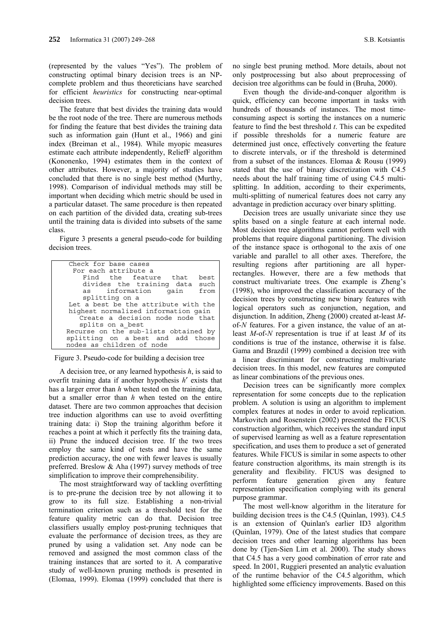(represented by the values "Yes"). The problem of constructing optimal binary decision trees is an NPcomplete problem and thus theoreticians have searched for efficient *heuristics* for constructing near-optimal decision trees.

The feature that best divides the training data would be the root node of the tree. There are numerous methods for finding the feature that best divides the training data such as information gain (Hunt et al., 1966) and gini index (Breiman et al., 1984). While myopic measures estimate each attribute independently, ReliefF algorithm (Kononenko, 1994) estimates them in the context of other attributes. However, a majority of studies have concluded that there is no single best method (Murthy, 1998). Comparison of individual methods may still be important when deciding which metric should be used in a particular dataset. The same procedure is then repeated on each partition of the divided data, creating sub-trees until the training data is divided into subsets of the same class.

Figure 3 presents a general pseudo-code for building decision trees.

| Check for base cases                 |      |  |  |  |  |
|--------------------------------------|------|--|--|--|--|
| For each attribute a                 |      |  |  |  |  |
| Find the feature that                | best |  |  |  |  |
| divides the training data such       |      |  |  |  |  |
| as information gain from             |      |  |  |  |  |
| splitting on a                       |      |  |  |  |  |
| Let a best be the attribute with the |      |  |  |  |  |
| highest normalized information gain  |      |  |  |  |  |
| Create a decision node node that     |      |  |  |  |  |
| splits on a best                     |      |  |  |  |  |
| Recurse on the sub-lists obtained by |      |  |  |  |  |
| splitting on a best and add those    |      |  |  |  |  |
| nodes as children of node            |      |  |  |  |  |

Figure 3. Pseudo-code for building a decision tree

A decision tree, or any learned hypothesis *h*, is said to overfit training data if another hypothesis *h*′ exists that has a larger error than *h* when tested on the training data, but a smaller error than *h* when tested on the entire dataset. There are two common approaches that decision tree induction algorithms can use to avoid overfitting training data: i) Stop the training algorithm before it reaches a point at which it perfectly fits the training data, ii) Prune the induced decision tree. If the two trees employ the same kind of tests and have the same prediction accuracy, the one with fewer leaves is usually preferred. Breslow & Aha (1997) survey methods of tree simplification to improve their comprehensibility.

The most straightforward way of tackling overfitting is to pre-prune the decision tree by not allowing it to grow to its full size. Establishing a non-trivial termination criterion such as a threshold test for the feature quality metric can do that. Decision tree classifiers usually employ post-pruning techniques that evaluate the performance of decision trees, as they are pruned by using a validation set. Any node can be removed and assigned the most common class of the training instances that are sorted to it. A comparative study of well-known pruning methods is presented in (Elomaa, 1999). Elomaa (1999) concluded that there is no single best pruning method. More details, about not only postprocessing but also about preprocessing of decision tree algorithms can be fould in (Bruha, 2000).

Even though the divide-and-conquer algorithm is quick, efficiency can become important in tasks with hundreds of thousands of instances. The most timeconsuming aspect is sorting the instances on a numeric feature to find the best threshold *t*. This can be expedited if possible thresholds for a numeric feature are determined just once, effectively converting the feature to discrete intervals, or if the threshold is determined from a subset of the instances. Elomaa & Rousu (1999) stated that the use of binary discretization with C4.5 needs about the half training time of using C4.5 multisplitting. In addition, according to their experiments, multi-splitting of numerical features does not carry any advantage in prediction accuracy over binary splitting.

Decision trees are usually univariate since they use splits based on a single feature at each internal node. Most decision tree algorithms cannot perform well with problems that require diagonal partitioning. The division of the instance space is orthogonal to the axis of one variable and parallel to all other axes. Therefore, the resulting regions after partitioning are all hyperrectangles. However, there are a few methods that construct multivariate trees. One example is Zheng's (1998), who improved the classification accuracy of the decision trees by constructing new binary features with logical operators such as conjunction, negation, and disjunction. In addition, Zheng (2000) created at-least *M*of-*N* features. For a given instance, the value of an atleast *M*-of-*N* representation is true if at least *M* of its conditions is true of the instance, otherwise it is false. Gama and Brazdil (1999) combined a decision tree with a linear discriminant for constructing multivariate decision trees. In this model, new features are computed as linear combinations of the previous ones.

Decision trees can be significantly more complex representation for some concepts due to the replication problem. A solution is using an algorithm to implement complex features at nodes in order to avoid replication. Markovitch and Rosenstein (2002) presented the FICUS construction algorithm, which receives the standard input of supervised learning as well as a feature representation specification, and uses them to produce a set of generated features. While FICUS is similar in some aspects to other feature construction algorithms, its main strength is its generality and flexibility. FICUS was designed to perform feature generation given any feature representation specification complying with its general purpose grammar.

The most well-know algorithm in the literature for building decision trees is the C4.5 (Quinlan, 1993). C4.5 is an extension of Quinlan's earlier ID3 algorithm (Quinlan, 1979). One of the latest studies that compare decision trees and other learning algorithms has been done by (Tjen-Sien Lim et al. 2000). The study shows that C4.5 has a very good combination of error rate and speed. In 2001, Ruggieri presented an analytic evaluation of the runtime behavior of the C4.5 algorithm, which highlighted some efficiency improvements. Based on this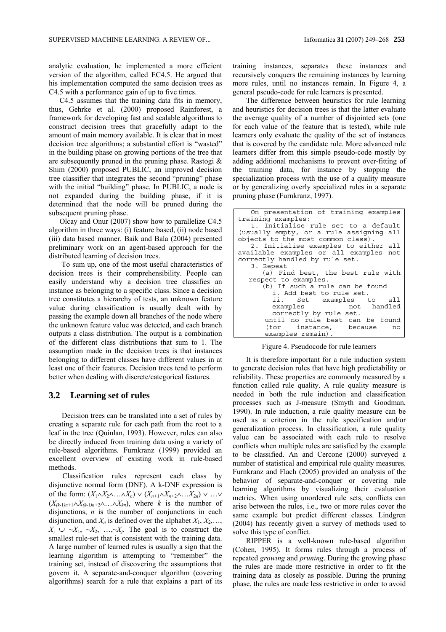analytic evaluation, he implemented a more efficient version of the algorithm, called EC4.5. He argued that his implementation computed the same decision trees as C4.5 with a performance gain of up to five times.

C4.5 assumes that the training data fits in memory, thus, Gehrke et al. (2000) proposed Rainforest, a framework for developing fast and scalable algorithms to construct decision trees that gracefully adapt to the amount of main memory available. It is clear that in most decision tree algorithms; a substantial effort is "wasted" in the building phase on growing portions of the tree that are subsequently pruned in the pruning phase. Rastogi & Shim (2000) proposed PUBLIC, an improved decision tree classifier that integrates the second "pruning" phase with the initial "building" phase. In PUBLIC, a node is not expanded during the building phase, if it is determined that the node will be pruned during the subsequent pruning phase.

Olcay and Onur (2007) show how to parallelize C4.5 algorithm in three ways: (i) feature based, (ii) node based (iii) data based manner. Baik and Bala (2004) presented preliminary work on an agent-based approach for the distributed learning of decision trees.

To sum up, one of the most useful characteristics of decision trees is their comprehensibility. People can easily understand why a decision tree classifies an instance as belonging to a specific class. Since a decision tree constitutes a hierarchy of tests, an unknown feature value during classification is usually dealt with by passing the example down all branches of the node where the unknown feature value was detected, and each branch outputs a class distribution. The output is a combination of the different class distributions that sum to 1. The assumption made in the decision trees is that instances belonging to different classes have different values in at least one of their features. Decision trees tend to perform better when dealing with discrete/categorical features.

#### **3.2 Learning set of rules**

Decision trees can be translated into a set of rules by creating a separate rule for each path from the root to a leaf in the tree (Quinlan, 1993). However, rules can also be directly induced from training data using a variety of rule-based algorithms. Furnkranz (1999) provided an excellent overview of existing work in rule-based methods.

Classification rules represent each class by disjunctive normal form (DNF). A k-DNF expression is of the form:  $(X_1 \wedge X_2 \wedge \ldots \wedge X_n) \vee (X_{n+1} \wedge X_{n+2} \wedge \ldots X_{2n}) \vee \ldots \vee$  $(X_{(k-1)n+1} \wedge X_{(k-1)n+2} \wedge \ldots \wedge X_{kn}),$  where *k* is the number of disjunctions, *n* is the number of conjunctions in each disjunction, and  $X_n$  is defined over the alphabet  $X_1, X_2, \ldots$ ,  $X_i \cup \neg X_1$ ,  $\neg X_2$ , …, $\neg X_i$ . The goal is to construct the smallest rule-set that is consistent with the training data. A large number of learned rules is usually a sign that the learning algorithm is attempting to "remember" the training set, instead of discovering the assumptions that govern it. A separate-and-conquer algorithm (covering algorithms) search for a rule that explains a part of its training instances, separates these instances and recursively conquers the remaining instances by learning more rules, until no instances remain. In Figure 4, a general pseudo-code for rule learners is presented.

The difference between heuristics for rule learning and heuristics for decision trees is that the latter evaluate the average quality of a number of disjointed sets (one for each value of the feature that is tested), while rule learners only evaluate the quality of the set of instances that is covered by the candidate rule. More advanced rule learners differ from this simple pseudo-code mostly by adding additional mechanisms to prevent over-fitting of the training data, for instance by stopping the specialization process with the use of a quality measure or by generalizing overly specialized rules in a separate pruning phase (Furnkranz, 1997).

| On presentation of training examples    |  |  |  |  |
|-----------------------------------------|--|--|--|--|
| training examples:                      |  |  |  |  |
| 1. Initialise rule set to a default     |  |  |  |  |
| (usually empty, or a rule assigning all |  |  |  |  |
| objects to the most common class).      |  |  |  |  |
| 2. Initialise examples to either all    |  |  |  |  |
| available examples or all examples not  |  |  |  |  |
| correctly handled by rule set.          |  |  |  |  |
| 3. Repeat                               |  |  |  |  |
| (a) Find best, the best rule with       |  |  |  |  |
| respect to examples.                    |  |  |  |  |
| (b) If such a rule can be found         |  |  |  |  |
| i. Add best to rule set.                |  |  |  |  |
| ii. Set examples to all                 |  |  |  |  |
| not handled<br>examples                 |  |  |  |  |
| correctly by rule set.                  |  |  |  |  |
| until no rule best can be found         |  |  |  |  |
| (for instance, because<br>no            |  |  |  |  |
| examples remain).                       |  |  |  |  |

Figure 4. Pseudocode for rule learners

It is therefore important for a rule induction system to generate decision rules that have high predictability or reliability. These properties are commonly measured by a function called rule quality. A rule quality measure is needed in both the rule induction and classification processes such as J-measure (Smyth and Goodman, 1990). In rule induction, a rule quality measure can be used as a criterion in the rule specification and/or generalization process. In classification, a rule quality value can be associated with each rule to resolve conflicts when multiple rules are satisfied by the example to be classified. An and Cercone (2000) surveyed a number of statistical and empirical rule quality measures. Furnkranz and Flach (2005) provided an analysis of the behavior of separate-and-conquer or covering rule learning algorithms by visualizing their evaluation metrics. When using unordered rule sets, conflicts can arise between the rules, i.e., two or more rules cover the same example but predict different classes. Lindgren (2004) has recently given a survey of methods used to solve this type of conflict.

RIPPER is a well-known rule-based algorithm (Cohen, 1995). It forms rules through a process of repeated *growing* and *pruning*. During the growing phase the rules are made more restrictive in order to fit the training data as closely as possible. During the pruning phase, the rules are made less restrictive in order to avoid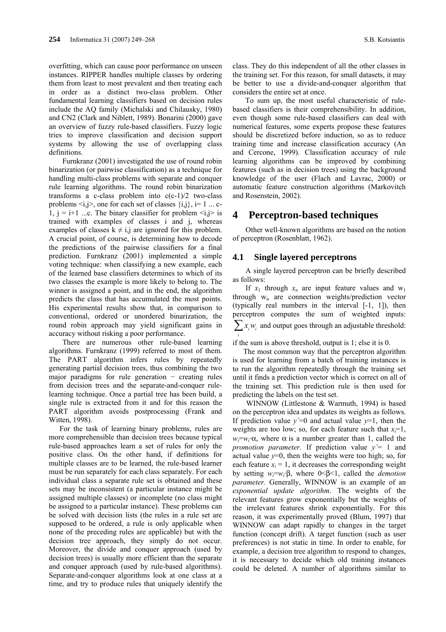overfitting, which can cause poor performance on unseen instances. RIPPER handles multiple classes by ordering them from least to most prevalent and then treating each in order as a distinct two-class problem. Other fundamental learning classifiers based on decision rules include the AQ family (Michalski and Chilausky, 1980) and CN2 (Clark and Niblett, 1989). Bonarini (2000) gave an overview of fuzzy rule-based classifiers. Fuzzy logic tries to improve classification and decision support systems by allowing the use of overlapping class definitions.

Furnkranz (2001) investigated the use of round robin binarization (or pairwise classification) as a technique for handling multi-class problems with separate and conquer rule learning algorithms. The round robin binarization transforms a c-class problem into  $c(c-1)/2$  two-class problems  $\langle i, j \rangle$ , one for each set of classes  $\{i, j\}$ ,  $i = 1 \dots c$ -1,  $j = i+1$  ...c. The binary classifier for problem  $\langle i, j \rangle$  is trained with examples of classes i and j, whereas examples of classes  $k \neq i,j$  are ignored for this problem. A crucial point, of course, is determining how to decode the predictions of the pairwise classifiers for a final prediction. Furnkranz (2001) implemented a simple voting technique: when classifying a new example, each of the learned base classifiers determines to which of its two classes the example is more likely to belong to. The winner is assigned a point, and in the end, the algorithm predicts the class that has accumulated the most points. His experimental results show that, in comparison to conventional, ordered or unordered binarization, the round robin approach may yield significant gains in accuracy without risking a poor performance.

There are numerous other rule-based learning algorithms. Furnkranz (1999) referred to most of them. The PART algorithm infers rules by repeatedly generating partial decision trees, thus combining the two major paradigms for rule generation − creating rules from decision trees and the separate-and-conquer rulelearning technique. Once a partial tree has been build, a single rule is extracted from it and for this reason the PART algorithm avoids postprocessing (Frank and Witten, 1998).

For the task of learning binary problems, rules are more comprehensible than decision trees because typical rule-based approaches learn a set of rules for only the positive class. On the other hand, if definitions for multiple classes are to be learned, the rule-based learner must be run separately for each class separately. For each individual class a separate rule set is obtained and these sets may be inconsistent (a particular instance might be assigned multiple classes) or incomplete (no class might be assigned to a particular instance). These problems can be solved with decision lists (the rules in a rule set are supposed to be ordered, a rule is only applicable when none of the preceding rules are applicable) but with the decision tree approach, they simply do not occur. Moreover, the divide and conquer approach (used by decision trees) is usually more efficient than the separate and conquer approach (used by rule-based algorithms). Separate-and-conquer algorithms look at one class at a time, and try to produce rules that uniquely identify the class. They do this independent of all the other classes in the training set. For this reason, for small datasets, it may be better to use a divide-and-conquer algorithm that considers the entire set at once.

To sum up, the most useful characteristic of rulebased classifiers is their comprehensibility. In addition, even though some rule-based classifiers can deal with numerical features, some experts propose these features should be discretized before induction, so as to reduce training time and increase classification accuracy (An and Cercone, 1999). Classification accuracy of rule learning algorithms can be improved by combining features (such as in decision trees) using the background knowledge of the user (Flach and Lavrac, 2000) or automatic feature construction algorithms (Markovitch and Rosenstein, 2002).

# **4 Perceptron-based techniques**

Other well-known algorithms are based on the notion of perceptron (Rosenblatt, 1962).

### **4.1 Single layered perceptrons**

A single layered perceptron can be briefly described as follows:

If  $x_1$  through  $x_n$  are input feature values and  $w_1$ through  $w_n$  are connection weights/prediction vector (typically real numbers in the interval [-1, 1]), then perceptron computes the sum of weighted inputs:  $\sum x_i w_i$  and output goes through an adjustable threshold: *i*

if the sum is above threshold, output is 1; else it is 0.

The most common way that the perceptron algorithm is used for learning from a batch of training instances is to run the algorithm repeatedly through the training set until it finds a prediction vector which is correct on all of the training set. This prediction rule is then used for predicting the labels on the test set.

WINNOW (Littlestone & Warmuth, 1994) is based on the perceptron idea and updates its weights as follows. If prediction value  $y = 0$  and actual value  $y = 1$ , then the weights are too low; so, for each feature such that  $x_i=1$ ,  $w_i = w_i \alpha$ , where  $\alpha$  is a number greater than 1, called the *promotion parameter.* If prediction value *y΄*= 1 and actual value  $y=0$ , then the weights were too high; so, for each feature  $x_i = 1$ , it decreases the corresponding weight by setting *wi*=*wi*·β, where 0<β<1, called the *demotion parameter.* Generally, WINNOW is an example of an *exponential update algorithm*. The weights of the relevant features grow exponentially but the weights of the irrelevant features shrink exponentially. For this reason, it was experimentally proved (Blum, 1997) that WINNOW can adapt rapidly to changes in the target function (concept drift). A target function (such as user preferences) is not static in time. In order to enable, for example, a decision tree algorithm to respond to changes, it is necessary to decide which old training instances could be deleted. A number of algorithms similar to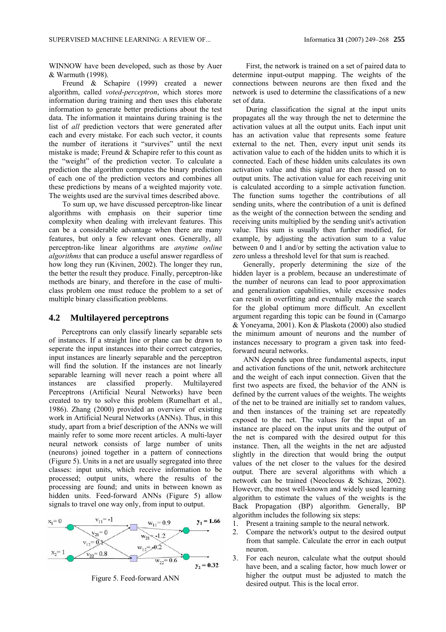WINNOW have been developed, such as those by Auer & Warmuth (1998).

Freund & Schapire (1999) created a newer algorithm, called *voted-perceptron*, which stores more information during training and then uses this elaborate information to generate better predictions about the test data. The information it maintains during training is the list of *all* prediction vectors that were generated after each and every mistake. For each such vector, it counts the number of iterations it "survives" until the next mistake is made; Freund  $&$  Schapire refer to this count as the "weight" of the prediction vector. To calculate a prediction the algorithm computes the binary prediction of each one of the prediction vectors and combines all these predictions by means of a weighted majority vote. The weights used are the survival times described above.

To sum up, we have discussed perceptron-like linear algorithms with emphasis on their superior time complexity when dealing with irrelevant features. This can be a considerable advantage when there are many features, but only a few relevant ones. Generally, all perceptron-like linear algorithms are *anytime online algorithms* that can produce a useful answer regardless of how long they run (Kivinen, 2002). The longer they run, the better the result they produce. Finally, perceptron-like methods are binary, and therefore in the case of multiclass problem one must reduce the problem to a set of multiple binary classification problems.

#### **4.2 Multilayered perceptrons**

Perceptrons can only classify linearly separable sets of instances. If a straight line or plane can be drawn to seperate the input instances into their correct categories, input instances are linearly separable and the perceptron will find the solution. If the instances are not linearly separable learning will never reach a point where all instances are classified properly. Multilayered Perceptrons (Artificial Neural Networks) have been created to try to solve this problem (Rumelhart et al., 1986). Zhang (2000) provided an overview of existing work in Artificial Neural Networks (ANNs). Thus, in this study, apart from a brief description of the ANNs we will mainly refer to some more recent articles. A multi-layer neural network consists of large number of units (neurons) joined together in a pattern of connections (Figure 5). Units in a net are usually segregated into three classes: input units, which receive information to be processed; output units, where the results of the processing are found; and units in between known as hidden units. Feed-forward ANNs (Figure 5) allow signals to travel one way only, from input to output.



Figure 5. Feed-forward ANN

First, the network is trained on a set of paired data to determine input-output mapping. The weights of the connections between neurons are then fixed and the network is used to determine the classifications of a new set of data.

During classification the signal at the input units propagates all the way through the net to determine the activation values at all the output units. Each input unit has an activation value that represents some feature external to the net. Then, every input unit sends its activation value to each of the hidden units to which it is connected. Each of these hidden units calculates its own activation value and this signal are then passed on to output units. The activation value for each receiving unit is calculated according to a simple activation function. The function sums together the contributions of all sending units, where the contribution of a unit is defined as the weight of the connection between the sending and receiving units multiplied by the sending unit's activation value. This sum is usually then further modified, for example, by adjusting the activation sum to a value between 0 and 1 and/or by setting the activation value to zero unless a threshold level for that sum is reached.

Generally, properly determining the size of the hidden layer is a problem, because an underestimate of the number of neurons can lead to poor approximation and generalization capabilities, while excessive nodes can result in overfitting and eventually make the search for the global optimum more difficult. An excellent argument regarding this topic can be found in (Camargo & Yoneyama, 2001). Kon & Plaskota (2000) also studied the minimum amount of neurons and the number of instances necessary to program a given task into feedforward neural networks.

ANN depends upon three fundamental aspects, input and activation functions of the unit, network architecture and the weight of each input connection. Given that the first two aspects are fixed, the behavior of the ANN is defined by the current values of the weights. The weights of the net to be trained are initially set to random values, and then instances of the training set are repeatedly exposed to the net. The values for the input of an instance are placed on the input units and the output of the net is compared with the desired output for this instance. Then, all the weights in the net are adjusted slightly in the direction that would bring the output values of the net closer to the values for the desired output. There are several algorithms with which a network can be trained (Neocleous & Schizas, 2002). However, the most well-known and widely used learning algorithm to estimate the values of the weights is the Back Propagation (BP) algorithm. Generally, BP algorithm includes the following six steps:

- 1. Present a training sample to the neural network.
- 2. Compare the network's output to the desired output from that sample. Calculate the error in each output neuron.
- 3. For each neuron, calculate what the output should have been, and a scaling factor, how much lower or higher the output must be adjusted to match the desired output. This is the local error.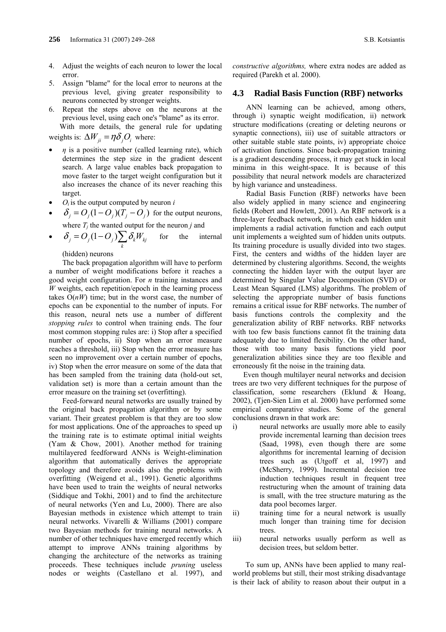- 4. Adjust the weights of each neuron to lower the local error.
- 5. Assign "blame" for the local error to neurons at the previous level, giving greater responsibility to neurons connected by stronger weights.
- 6. Repeat the steps above on the neurons at the previous level, using each one's "blame" as its error. With more details, the general rule for updating

weights is:  $\Delta W_{ji} = \eta \delta_j O_i$  where:

- $\eta$  is a positive number (called learning rate), which determines the step size in the gradient descent search. A large value enables back propagation to move faster to the target weight configuration but it also increases the chance of its never reaching this target.
- $O_i$  is the output computed by neuron  $i$
- $\delta_i = O_i(1 O_i)(T_i O_i)$  for the output neurons, where  $T_j$  the wanted output for the neuron *j* and
- $\delta_j = O_j(1 O_j) \sum \delta_k W_{kj}$  $\delta_j = O_j(1 - O_j) \sum_k \delta_k W_{kj}$  for the internal

(hidden) neurons

The back propagation algorithm will have to perform a number of weight modifications before it reaches a good weight configuration. For *n* training instances and *W* weights, each repetition/epoch in the learning process takes  $O(nW)$  time; but in the worst case, the number of epochs can be exponential to the number of inputs. For this reason, neural nets use a number of different *stopping rules* to control when training ends. The four most common stopping rules are: i) Stop after a specified number of epochs, ii) Stop when an error measure reaches a threshold, iii) Stop when the error measure has seen no improvement over a certain number of epochs, iv) Stop when the error measure on some of the data that has been sampled from the training data (hold-out set, validation set) is more than a certain amount than the error measure on the training set (overfitting).

Feed-forward neural networks are usually trained by the original back propagation algorithm or by some variant. Their greatest problem is that they are too slow for most applications. One of the approaches to speed up the training rate is to estimate optimal initial weights (Yam & Chow, 2001). Another method for training multilayered feedforward ANNs is Weight-elimination algorithm that automatically derives the appropriate topology and therefore avoids also the problems with overfitting (Weigend et al., 1991). Genetic algorithms have been used to train the weights of neural networks (Siddique and Tokhi, 2001) and to find the architecture of neural networks (Yen and Lu, 2000). There are also Bayesian methods in existence which attempt to train neural networks. Vivarelli & Williams (2001) compare two Bayesian methods for training neural networks. A number of other techniques have emerged recently which attempt to improve ANNs training algorithms by changing the architecture of the networks as training proceeds. These techniques include *pruning* useless nodes or weights (Castellano et al. 1997), and *constructive algorithms,* where extra nodes are added as required (Parekh et al. 2000).

### **4.3 Radial Basis Function (RBF) networks**

ANN learning can be achieved, among others, through i) synaptic weight modification, ii) network structure modifications (creating or deleting neurons or synaptic connections), iii) use of suitable attractors or other suitable stable state points, iv) appropriate choice of activation functions. Since back-propagation training is a gradient descending process, it may get stuck in local minima in this weight-space. It is because of this possibility that neural network models are characterized by high variance and unsteadiness.

Radial Basis Function (RBF) networks have been also widely applied in many science and engineering fields (Robert and Howlett, 2001). An RBF network is a three-layer feedback network, in which each hidden unit implements a radial activation function and each output unit implements a weighted sum of hidden units outputs. Its training procedure is usually divided into two stages. First, the centers and widths of the hidden layer are determined by clustering algorithms. Second, the weights connecting the hidden layer with the output layer are determined by Singular Value Decomposition (SVD) or Least Mean Squared (LMS) algorithms. The problem of selecting the appropriate number of basis functions remains a critical issue for RBF networks. The number of basis functions controls the complexity and the generalization ability of RBF networks. RBF networks with too few basis functions cannot fit the training data adequately due to limited flexibility. On the other hand, those with too many basis functions yield poor generalization abilities since they are too flexible and erroneously fit the noise in the training data.

Even though multilayer neural networks and decision trees are two very different techniques for the purpose of classification, some researchers (Eklund & Hoang, 2002), (Tjen-Sien Lim et al. 2000) have performed some empirical comparative studies. Some of the general conclusions drawn in that work are:

- i) neural networks are usually more able to easily provide incremental learning than decision trees (Saad, 1998), even though there are some algorithms for incremental learning of decision trees such as (Utgoff et al, 1997) and (McSherry, 1999). Incremental decision tree induction techniques result in frequent tree restructuring when the amount of training data is small, with the tree structure maturing as the data pool becomes larger.
- ii) training time for a neural network is usually much longer than training time for decision trees.
- iii) neural networks usually perform as well as decision trees, but seldom better.

To sum up, ANNs have been applied to many realworld problems but still, their most striking disadvantage is their lack of ability to reason about their output in a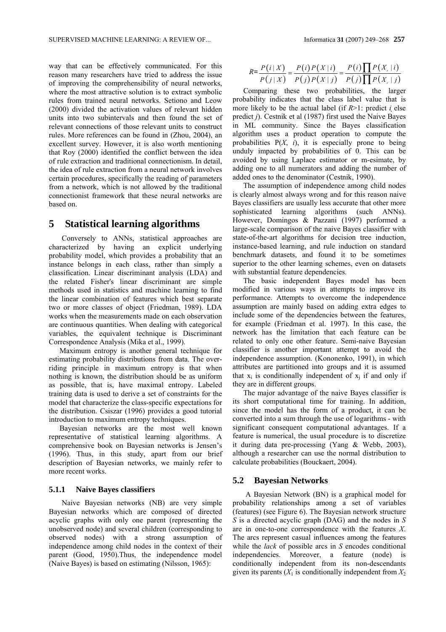way that can be effectively communicated. For this reason many researchers have tried to address the issue of improving the comprehensibility of neural networks, where the most attractive solution is to extract symbolic rules from trained neural networks. Setiono and Leow (2000) divided the activation values of relevant hidden units into two subintervals and then found the set of relevant connections of those relevant units to construct rules. More references can be found in (Zhou, 2004), an excellent survey. However, it is also worth mentioning that Roy (2000) identified the conflict between the idea of rule extraction and traditional connectionism. In detail, the idea of rule extraction from a neural network involves certain procedures, specifically the reading of parameters from a network, which is not allowed by the traditional connectionist framework that these neural networks are based on.

### **5 Statistical learning algorithms**

Conversely to ANNs, statistical approaches are characterized by having an explicit underlying probability model, which provides a probability that an instance belongs in each class, rather than simply a classification. Linear discriminant analysis (LDA) and the related Fisher's linear discriminant are simple methods used in statistics and machine learning to find the linear combination of features which best separate two or more classes of object (Friedman, 1989). LDA works when the measurements made on each observation are continuous quantities. When dealing with categorical variables, the equivalent technique is Discriminant Correspondence Analysis (Mika et al., 1999).

Maximum entropy is another general technique for estimating probability distributions from data. The overriding principle in maximum entropy is that when nothing is known, the distribution should be as uniform as possible, that is, have maximal entropy. Labeled training data is used to derive a set of constraints for the model that characterize the class-specific expectations for the distribution. Csiszar (1996) provides a good tutorial introduction to maximum entropy techniques.

Bayesian networks are the most well known representative of statistical learning algorithms. A comprehensive book on Bayesian networks is Jensen's (1996). Thus, in this study, apart from our brief description of Bayesian networks, we mainly refer to more recent works.

#### **5.1.1 Naive Bayes classifiers**

Naive Bayesian networks (NB) are very simple Bayesian networks which are composed of directed acyclic graphs with only one parent (representing the unobserved node) and several children (corresponding to observed nodes) with a strong assumption of independence among child nodes in the context of their parent (Good, 1950).Thus, the independence model (Naive Bayes) is based on estimating (Nilsson, 1965):

$$
R = \frac{P(i|X)}{P(j|X)} = \frac{P(i)P(X|i)}{P(j)P(X|j)} = \frac{P(i)\prod P(X_i|i)}{P(j)\prod P(X_i|j)}
$$

Comparing these two probabilities, the larger probability indicates that the class label value that is more likely to be the actual label (if *R*>1: predict *i* else predict *j*). Cestnik et al (1987) first used the Naive Bayes in ML community. Since the Bayes classification algorithm uses a product operation to compute the probabilities  $P(X, i)$ , it is especially prone to being unduly impacted by probabilities of 0. This can be avoided by using Laplace estimator or m-esimate, by adding one to all numerators and adding the number of added ones to the denominator (Cestnik, 1990).

The assumption of independence among child nodes is clearly almost always wrong and for this reason naive Bayes classifiers are usually less accurate that other more sophisticated learning algorithms (such ANNs). However, Domingos & Pazzani (1997) performed a large-scale comparison of the naive Bayes classifier with state-of-the-art algorithms for decision tree induction, instance-based learning, and rule induction on standard benchmark datasets, and found it to be sometimes superior to the other learning schemes, even on datasets with substantial feature dependencies.

The basic independent Bayes model has been modified in various ways in attempts to improve its performance. Attempts to overcome the independence assumption are mainly based on adding extra edges to include some of the dependencies between the features, for example (Friedman et al. 1997). In this case, the network has the limitation that each feature can be related to only one other feature. Semi-naive Bayesian classifier is another important attempt to avoid the independence assumption. (Kononenko, 1991), in which attributes are partitioned into groups and it is assumed that  $x_i$  is conditionally independent of  $x_i$  if and only if they are in different groups.

The major advantage of the naive Bayes classifier is its short computational time for training. In addition, since the model has the form of a product, it can be converted into a sum through the use of logarithms - with significant consequent computational advantages. If a feature is numerical, the usual procedure is to discretize it during data pre-processing (Yang & Webb, 2003), although a researcher can use the normal distribution to calculate probabilities (Bouckaert, 2004).

#### **5.2 Bayesian Networks**

A Bayesian Network (BN) is a graphical model for probability relationships among a set of variables (features) (see Figure 6). The Bayesian network structure *S* is a directed acyclic graph (DAG) and the nodes in *S*  are in one-to-one correspondence with the features *X*. The arcs represent casual influences among the features while the *lack* of possible arcs in *S* encodes conditional independencies. Moreover, a feature (node) is conditionally independent from its non-descendants given its parents  $(X_1$  is conditionally independent from  $X_2$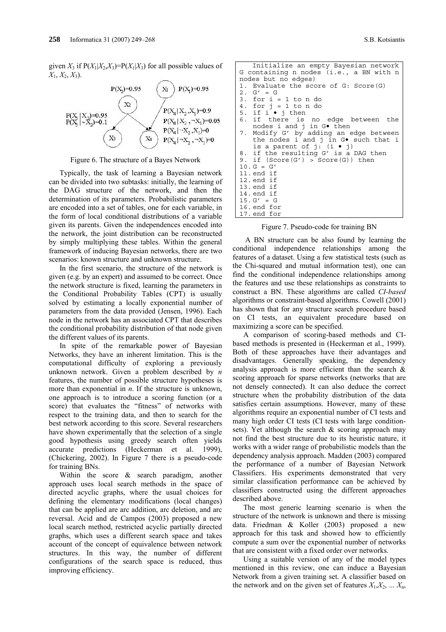given  $X_3$  if  $P(X_1|X_2, X_3) = P(X_1|X_3)$  for all possible values of  $X_1, X_2, X_3$ .



Figure 6. The structure of a Bayes Network

Typically, the task of learning a Bayesian network can be divided into two subtasks: initially, the learning of the DAG structure of the network, and then the determination of its parameters. Probabilistic parameters are encoded into a set of tables, one for each variable, in the form of local conditional distributions of a variable given its parents. Given the independences encoded into the network, the joint distribution can be reconstructed by simply multiplying these tables. Within the general framework of inducing Bayesian networks, there are two scenarios: known structure and unknown structure.

In the first scenario, the structure of the network is given (e.g. by an expert) and assumed to be correct. Once the network structure is fixed, learning the parameters in the Conditional Probability Tables (CPT) is usually solved by estimating a locally exponential number of parameters from the data provided (Jensen, 1996). Each node in the network has an associated CPT that describes the conditional probability distribution of that node given the different values of its parents.

In spite of the remarkable power of Bayesian Networks, they have an inherent limitation. This is the computational difficulty of exploring a previously unknown network. Given a problem described by *n*  features, the number of possible structure hypotheses is more than exponential in *n*. If the structure is unknown, one approach is to introduce a scoring function (or a score) that evaluates the "fitness" of networks with respect to the training data, and then to search for the best network according to this score. Several researchers have shown experimentally that the selection of a single good hypothesis using greedy search often yields accurate predictions (Heckerman et al. 1999), (Chickering, 2002). In Figure 7 there is a pseudo-code for training BNs.

Within the score & search paradigm, another approach uses local search methods in the space of directed acyclic graphs, where the usual choices for defining the elementary modifications (local changes) that can be applied are arc addition, arc deletion, and arc reversal. Acid and de Campos (2003) proposed a new local search method, restricted acyclic partially directed graphs, which uses a different search space and takes account of the concept of equivalence between network structures. In this way, the number of different configurations of the search space is reduced, thus improving efficiency.

Initialize an empty Bayesian network G containing n nodes (i.e., a BN with n nodes but no edges) 1. Evaluate the score of G: Score(G)  $2. G' = G$ 3. for i = 1 to n do 4. for j = 1 to n do 5. if  $i \bullet j$  then 6. if there is no edge between the nodes i and j in G• then 7. Modify G' by adding an edge between the nodes i and j in G• such that i is a parent of j: (i • j) 8. if the resulting G' is a DAG then 9. if  $(Score(G') > Score(G))$  then  $10. G = G'$ 11. end if 12. end if 13. end if 14. end if  $15. G' = G$ 16. end for

Figure 7. Pseudo-code for training BN

17. end for

 A BN structure can be also found by learning the conditional independence relationships among the features of a dataset. Using a few statistical tests (such as the Chi-squared and mutual information test), one can find the conditional independence relationships among the features and use these relationships as constraints to construct a BN. These algorithms are called *CI-based*  algorithms or constraint-based algorithms. Cowell (2001) has shown that for any structure search procedure based on CI tests, an equivalent procedure based on maximizing a score can be specified.

A comparison of scoring-based methods and CIbased methods is presented in (Heckerman et al., 1999). Both of these approaches have their advantages and disadvantages. Generally speaking, the dependency analysis approach is more efficient than the search  $\&$ scoring approach for sparse networks (networks that are not densely connected). It can also deduce the correct structure when the probability distribution of the data satisfies certain assumptions. However, many of these algorithms require an exponential number of CI tests and many high order CI tests (CI tests with large conditionsets). Yet although the search  $\&$  scoring approach may not find the best structure due to its heuristic nature, it works with a wider range of probabilistic models than the dependency analysis approach. Madden (2003) compared the performance of a number of Bayesian Network Classifiers. His experiments demonstrated that very similar classification performance can be achieved by classifiers constructed using the different approaches described above.

The most generic learning scenario is when the structure of the network is unknown and there is missing data. Friedman & Koller (2003) proposed a new approach for this task and showed how to efficiently compute a sum over the exponential number of networks that are consistent with a fixed order over networks.

Using a suitable version of any of the model types mentioned in this review, one can induce a Bayesian Network from a given training set. A classifier based on the network and on the given set of features  $X_1, X_2, \ldots, X_n$ ,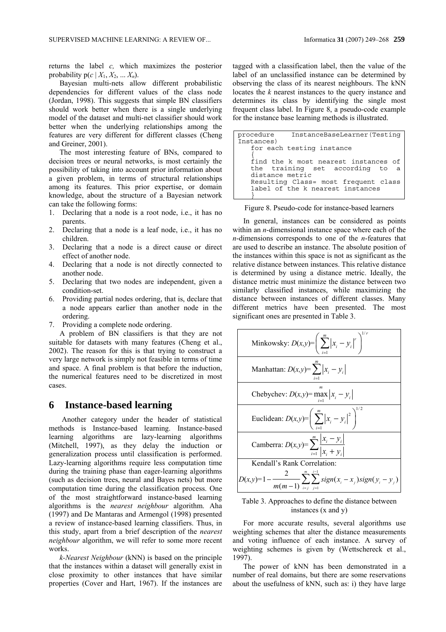returns the label *c,* which maximizes the posterior probability  $p(c | X_1, X_2, \ldots, X_n)$ .

Bayesian multi-nets allow different probabilistic dependencies for different values of the class node (Jordan, 1998). This suggests that simple BN classifiers should work better when there is a single underlying model of the dataset and multi-net classifier should work better when the underlying relationships among the features are very different for different classes (Cheng and Greiner, 2001).

The most interesting feature of BNs, compared to decision trees or neural networks, is most certainly the possibility of taking into account prior information about a given problem, in terms of structural relationships among its features. This prior expertise, or domain knowledge, about the structure of a Bayesian network can take the following forms:

- 1. Declaring that a node is a root node, i.e., it has no parents.
- 2. Declaring that a node is a leaf node, i.e., it has no children.
- 3. Declaring that a node is a direct cause or direct effect of another node.
- 4. Declaring that a node is not directly connected to another node.
- 5. Declaring that two nodes are independent, given a condition-set.
- 6. Providing partial nodes ordering, that is, declare that a node appears earlier than another node in the ordering.
- 7. Providing a complete node ordering.

A problem of BN classifiers is that they are not suitable for datasets with many features (Cheng et al., 2002). The reason for this is that trying to construct a very large network is simply not feasible in terms of time and space. A final problem is that before the induction, the numerical features need to be discretized in most cases.

### **6 Instance-based learning**

Another category under the header of statistical methods is Instance-based learning. Instance-based learning algorithms are lazy-learning algorithms (Mitchell, 1997), as they delay the induction or generalization process until classification is performed. Lazy-learning algorithms require less computation time during the training phase than eager-learning algorithms (such as decision trees, neural and Bayes nets) but more computation time during the classification process. One of the most straightforward instance-based learning algorithms is the *nearest neighbour* algorithm. Aha (1997) and De Mantaras and Armengol (1998) presented a review of instance-based learning classifiers. Thus, in this study, apart from a brief description of the *nearest neighbour* algorithm, we will refer to some more recent works.

*k-Nearest Neighbour* (kNN) is based on the principle that the instances within a dataset will generally exist in close proximity to other instances that have similar properties (Cover and Hart, 1967). If the instances are tagged with a classification label, then the value of the label of an unclassified instance can be determined by observing the class of its nearest neighbours. The kNN locates the *k* nearest instances to the query instance and determines its class by identifying the single most frequent class label. In Figure 8, a pseudo-code example for the instance base learning methods is illustrated.

```
procedure InstanceBaseLearner(Testing
Instances) 
   for each testing instance 
   { 
   find the k most nearest instances of<br>the training set according to a
   the training set according to a 
   distance metric 
   Resulting Class= most frequent class 
   label of the k nearest instances 
   }
```
#### Figure 8. Pseudo-code for instance-based learners

In general, instances can be considered as points within an *n*-dimensional instance space where each of the *n*-dimensions corresponds to one of the *n*-features that are used to describe an instance. The absolute position of the instances within this space is not as significant as the relative distance between instances. This relative distance is determined by using a distance metric. Ideally, the distance metric must minimize the distance between two similarly classified instances, while maximizing the distance between instances of different classes. Many different metrics have been presented. The most significant ones are presented in Table 3.

| Minkowsky: $D(x,y) = \left(\sum_{i=1}^{m}  x_i - y_i ^r\right)^r$                   |
|-------------------------------------------------------------------------------------|
| Manhattan: $D(x,y) = \sum  x_i - y_i $                                              |
| Chebychev: $D(x,y)$ = max $ x_i - y_i $                                             |
| Euclidean: $D(x,y) = \left(\sum_{i=1}^{m}  x_i - y_i ^2\right)^{1}$                 |
| Camberra: $D(x,y) = \sum_{i=1}^{m} \frac{ x_i - y_i }{ x_i + y_i }$                 |
| Kendall's Rank Correlation:                                                         |
| $D(x,y)=1-\frac{2}{m(m-1)}\sum_{i=j}^{m}\sum_{j=1}^{i-1}sign(x_i-x_j)sign(y_i-y_j)$ |

#### Table 3. Approaches to define the distance between instances (x and y)

For more accurate results, several algorithms use weighting schemes that alter the distance measurements and voting influence of each instance. A survey of weighting schemes is given by (Wettschereck et al., 1997).

The power of kNN has been demonstrated in a number of real domains, but there are some reservations about the usefulness of kNN, such as: i) they have large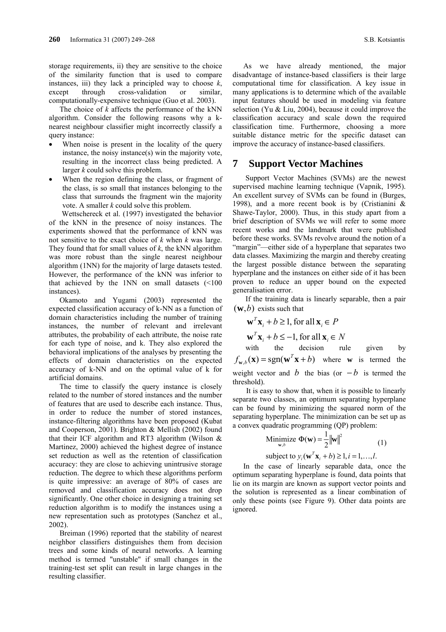storage requirements, ii) they are sensitive to the choice of the similarity function that is used to compare instances, iii) they lack a principled way to choose *k*, except through cross-validation or similar, computationally-expensive technique (Guo et al. 2003).

The choice of *k* affects the performance of the kNN algorithm. Consider the following reasons why a knearest neighbour classifier might incorrectly classify a query instance:

- When noise is present in the locality of the query instance, the noisy instance(s) win the majority vote, resulting in the incorrect class being predicted. A larger *k* could solve this problem.
- When the region defining the class, or fragment of the class, is so small that instances belonging to the class that surrounds the fragment win the majority vote. A smaller *k* could solve this problem.

Wettschereck et al. (1997) investigated the behavior of the kNN in the presence of noisy instances. The experiments showed that the performance of kNN was not sensitive to the exact choice of *k* when *k* was large. They found that for small values of *k*, the kNN algorithm was more robust than the single nearest neighbour algorithm (1NN) for the majority of large datasets tested. However, the performance of the kNN was inferior to that achieved by the 1NN on small datasets (<100 instances).

Okamoto and Yugami (2003) represented the expected classification accuracy of k-NN as a function of domain characteristics including the number of training instances, the number of relevant and irrelevant attributes, the probability of each attribute, the noise rate for each type of noise, and k. They also explored the behavioral implications of the analyses by presenting the effects of domain characteristics on the expected accuracy of k-NN and on the optimal value of k for artificial domains.

The time to classify the query instance is closely related to the number of stored instances and the number of features that are used to describe each instance. Thus, in order to reduce the number of stored instances, instance-filtering algorithms have been proposed (Kubat and Cooperson, 2001). Brighton & Mellish (2002) found that their ICF algorithm and RT3 algorithm (Wilson & Martinez, 2000) achieved the highest degree of instance set reduction as well as the retention of classification accuracy: they are close to achieving unintrusive storage reduction. The degree to which these algorithms perform is quite impressive: an average of 80% of cases are removed and classification accuracy does not drop significantly. One other choice in designing a training set reduction algorithm is to modify the instances using a new representation such as prototypes (Sanchez et al., 2002).

Breiman (1996) reported that the stability of nearest neighbor classifiers distinguishes them from decision trees and some kinds of neural networks. A learning method is termed "unstable" if small changes in the training-test set split can result in large changes in the resulting classifier.

As we have already mentioned, the major disadvantage of instance-based classifiers is their large computational time for classification. A key issue in many applications is to determine which of the available input features should be used in modeling via feature selection (Yu & Liu, 2004), because it could improve the classification accuracy and scale down the required classification time. Furthermore, choosing a more suitable distance metric for the specific dataset can improve the accuracy of instance-based classifiers.

### **7 Support Vector Machines**

Support Vector Machines (SVMs) are the newest supervised machine learning technique (Vapnik, 1995). An excellent survey of SVMs can be found in (Burges, 1998), and a more recent book is by (Cristianini & Shawe-Taylor, 2000). Thus, in this study apart from a brief description of SVMs we will refer to some more recent works and the landmark that were published before these works. SVMs revolve around the notion of a "margin"—either side of a hyperplane that separates two data classes. Maximizing the margin and thereby creating the largest possible distance between the separating hyperplane and the instances on either side of it has been proven to reduce an upper bound on the expected generalisation error.

If the training data is linearly separable, then a pair (**w**,*b*) exists such that

$$
\mathbf{w}^T \mathbf{x}_i + b \ge 1, \text{ for all } \mathbf{x}_i \in P
$$

$$
\mathbf{w}^T \mathbf{x}_i + b \le -1, \text{ for all } \mathbf{x}_i \in N
$$

with the decision rule given by  $f_{\mathbf{w},b}(\mathbf{x}) = \text{sgn}(\mathbf{w}^T \mathbf{x} + b)$  where **w** is termed the weight vector and *b* the bias (or  $-b$  is termed the threshold).

 It is easy to show that, when it is possible to linearly separate two classes, an optimum separating hyperplane can be found by minimizing the squared norm of the separating hyperplane. The minimization can be set up as a convex quadratic programming (QP) problem:

Minimize 
$$
\Phi(\mathbf{w}) = \frac{1}{2} ||\mathbf{w}||^2
$$
 (1)  
subject to  $y_i(\mathbf{w}^T \mathbf{x}_i + b) \ge 1, i = 1,...,l$ .

In the case of linearly separable data, once the optimum separating hyperplane is found, data points that lie on its margin are known as support vector points and the solution is represented as a linear combination of only these points (see Figure 9). Other data points are ignored.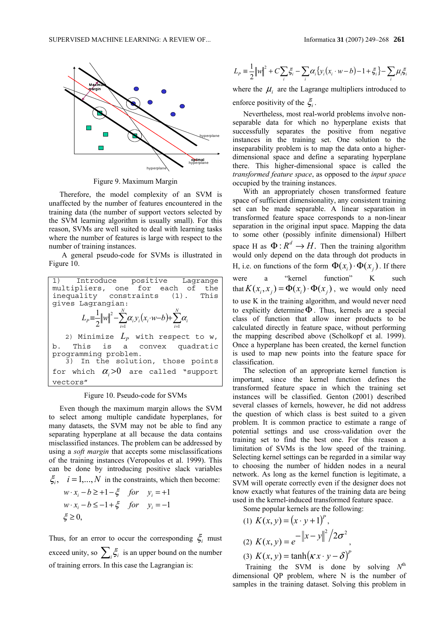

Figure 9. Maximum Margin

Therefore, the model complexity of an SVM is unaffected by the number of features encountered in the training data (the number of support vectors selected by the SVM learning algorithm is usually small). For this reason, SVMs are well suited to deal with learning tasks where the number of features is large with respect to the number of training instances.

A general pseudo-code for SVMs is illustrated in Figure 10.

\n- 1) Introduce positive Lagrange multipliers, one for each of the inequality constraints (1). This gives Lagrangian:
\n- $$
L_p \equiv \frac{1}{2} ||w||^2 - \sum_{i=1}^N \alpha_i y_i (x_i \cdot w - b) + \sum_{i=1}^N \alpha_i
$$
\n
\n- 2) Minimize  $L_p$  with respect to  $w$ , b. This is a convex quadratic programming problem.
\n- 3) In the solution, those points for which  $\alpha_i > 0$  are called "support vectors"
\n

#### Figure 10. Pseudo-code for SVMs

Even though the maximum margin allows the SVM to select among multiple candidate hyperplanes, for many datasets, the SVM may not be able to find any separating hyperplane at all because the data contains misclassified instances. The problem can be addressed by using a *soft margin* that accepts some misclassifications of the training instances (Veropoulos et al. 1999). This can be done by introducing positive slack variables  $\xi_i$ ,  $i = 1,...,N$  in the constraints, which then become:

$$
w \cdot x_i - b \ge +1 - \xi \quad \text{for} \quad y_i = +1
$$
  

$$
w \cdot x_i - b \le -1 + \xi \quad \text{for} \quad y_i = -1
$$
  

$$
\xi \ge 0,
$$

Thus, for an error to occur the corresponding  $\xi$ <sup>*i*</sup> must exceed unity, so  $\sum_i \xi_i$  is an upper bound on the number of training errors. In this case the Lagrangian is:

$$
L_P = \frac{1}{2} ||w||^2 + C \sum_i \xi_i - \sum_i \alpha_i \{y_i(x_i \cdot w - b) - 1 + \xi_i\} - \sum_i \mu_i \xi_i
$$

where the  $\mu_i$  are the Lagrange multipliers introduced to enforce positivity of the  $\xi$ .

Nevertheless, most real-world problems involve nonseparable data for which no hyperplane exists that successfully separates the positive from negative instances in the training set. One solution to the inseparability problem is to map the data onto a higherdimensional space and define a separating hyperplane there. This higher-dimensional space is called the *transformed feature space*, as opposed to the *input space* occupied by the training instances.

With an appropriately chosen transformed feature space of sufficient dimensionality, any consistent training set can be made separable. A linear separation in transformed feature space corresponds to a non-linear separation in the original input space. Mapping the data to some other (possibly infinite dimensional) Hilbert space H as  $\Phi$  :  $R^d \to H$ . Then the training algorithm would only depend on the data through dot products in H, i.e. on functions of the form  $\Phi(x_i) \cdot \Phi(x_i)$ . If there were a "kernel function" K such that  $K(x_i, x_j) = \Phi(x_i) \cdot \Phi(x_i)$ , we would only need to use K in the training algorithm, and would never need to explicitly determine $\Phi$ . Thus, kernels are a special class of function that allow inner products to be calculated directly in feature space, without performing the mapping described above (Scholkopf et al. 1999). Once a hyperplane has been created, the kernel function is used to map new points into the feature space for classification.

The selection of an appropriate kernel function is important, since the kernel function defines the transformed feature space in which the training set instances will be classified. Genton (2001) described several classes of kernels, however, he did not address the question of which class is best suited to a given problem. It is common practice to estimate a range of potential settings and use cross-validation over the training set to find the best one. For this reason a limitation of SVMs is the low speed of the training. Selecting kernel settings can be regarded in a similar way to choosing the number of hidden nodes in a neural network. As long as the kernel function is legitimate, a SVM will operate correctly even if the designer does not know exactly what features of the training data are being used in the kernel-induced transformed feature space.

Some popular kernels are the following:

(1) 
$$
K(x, y) = (x \cdot y + 1)^p
$$
,  
\n(2)  $K(x, y) = e^{-\|x - y\|^2 / 2\sigma^2}$ ,  
\n(3)  $K(x, y) = \tanh((kx \cdot y - \delta)^p)$ 

Training the SVM is done by solving *N*th dimensional QP problem, where N is the number of samples in the training dataset. Solving this problem in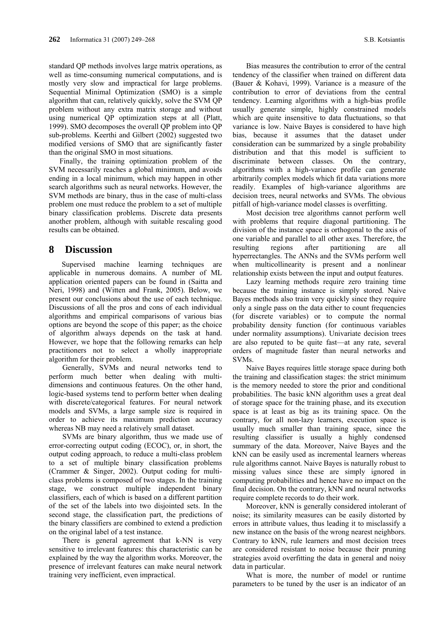standard QP methods involves large matrix operations, as well as time-consuming numerical computations, and is mostly very slow and impractical for large problems. Sequential Minimal Optimization (SMO) is a simple algorithm that can, relatively quickly, solve the SVM QP problem without any extra matrix storage and without using numerical QP optimization steps at all (Platt, 1999). SMO decomposes the overall QP problem into QP sub-problems. Keerthi and Gilbert (2002) suggested two modified versions of SMO that are significantly faster than the original SMO in most situations.

Finally, the training optimization problem of the SVM necessarily reaches a global minimum, and avoids ending in a local minimum, which may happen in other search algorithms such as neural networks. However, the SVM methods are binary, thus in the case of multi-class problem one must reduce the problem to a set of multiple binary classification problems. Discrete data presents another problem, although with suitable rescaling good results can be obtained.

### **8 Discussion**

Supervised machine learning techniques are applicable in numerous domains. A number of ML application oriented papers can be found in (Saitta and Neri, 1998) and (Witten and Frank, 2005). Below, we present our conclusions about the use of each technique. Discussions of all the pros and cons of each individual algorithms and empirical comparisons of various bias options are beyond the scope of this paper; as the choice of algorithm always depends on the task at hand. However, we hope that the following remarks can help practitioners not to select a wholly inappropriate algorithm for their problem.

Generally, SVMs and neural networks tend to perform much better when dealing with multidimensions and continuous features. On the other hand, logic-based systems tend to perform better when dealing with discrete/categorical features. For neural network models and SVMs, a large sample size is required in order to achieve its maximum prediction accuracy whereas NB may need a relatively small dataset.

SVMs are binary algorithm, thus we made use of error-correcting output coding (ECOC), or, in short, the output coding approach, to reduce a multi-class problem to a set of multiple binary classification problems (Crammer & Singer, 2002). Output coding for multiclass problems is composed of two stages. In the training stage, we construct multiple independent binary classifiers, each of which is based on a different partition of the set of the labels into two disjointed sets. In the second stage, the classification part, the predictions of the binary classifiers are combined to extend a prediction on the original label of a test instance.

There is general agreement that k-NN is very sensitive to irrelevant features: this characteristic can be explained by the way the algorithm works. Moreover, the presence of irrelevant features can make neural network training very inefficient, even impractical.

Bias measures the contribution to error of the central tendency of the classifier when trained on different data (Bauer & Kohavi, 1999). Variance is a measure of the contribution to error of deviations from the central tendency. Learning algorithms with a high-bias profile usually generate simple, highly constrained models which are quite insensitive to data fluctuations, so that variance is low. Naive Bayes is considered to have high bias, because it assumes that the dataset under consideration can be summarized by a single probability distribution and that this model is sufficient to discriminate between classes. On the contrary, algorithms with a high-variance profile can generate arbitrarily complex models which fit data variations more readily. Examples of high-variance algorithms are decision trees, neural networks and SVMs. The obvious pitfall of high-variance model classes is overfitting.

Most decision tree algorithms cannot perform well with problems that require diagonal partitioning. The division of the instance space is orthogonal to the axis of one variable and parallel to all other axes. Therefore, the resulting regions after partitioning are all hyperrectangles. The ANNs and the SVMs perform well when multicollinearity is present and a nonlinear relationship exists between the input and output features.

Lazy learning methods require zero training time because the training instance is simply stored. Naive Bayes methods also train very quickly since they require only a single pass on the data either to count frequencies (for discrete variables) or to compute the normal probability density function (for continuous variables under normality assumptions). Univariate decision trees are also reputed to be quite fast—at any rate, several orders of magnitude faster than neural networks and SVMs.

Naive Bayes requires little storage space during both the training and classification stages: the strict minimum is the memory needed to store the prior and conditional probabilities. The basic kNN algorithm uses a great deal of storage space for the training phase, and its execution space is at least as big as its training space. On the contrary, for all non-lazy learners, execution space is usually much smaller than training space, since the resulting classifier is usually a highly condensed summary of the data. Moreover, Naive Bayes and the kNN can be easily used as incremental learners whereas rule algorithms cannot. Naive Bayes is naturally robust to missing values since these are simply ignored in computing probabilities and hence have no impact on the final decision. On the contrary, kNN and neural networks require complete records to do their work.

Moreover, kNN is generally considered intolerant of noise; its similarity measures can be easily distorted by errors in attribute values, thus leading it to misclassify a new instance on the basis of the wrong nearest neighbors. Contrary to kNN, rule learners and most decision trees are considered resistant to noise because their pruning strategies avoid overfitting the data in general and noisy data in particular.

What is more, the number of model or runtime parameters to be tuned by the user is an indicator of an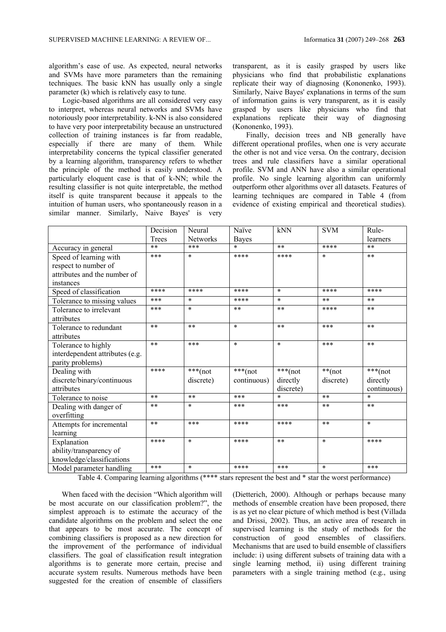algorithm's ease of use. As expected, neural networks and SVMs have more parameters than the remaining techniques. The basic kNN has usually only a single parameter (k) which is relatively easy to tune.

Logic-based algorithms are all considered very easy to interpret, whereas neural networks and SVMs have notoriously poor interpretability. k-NN is also considered to have very poor interpretability because an unstructured collection of training instances is far from readable, especially if there are many of them. While interpretability concerns the typical classifier generated by a learning algorithm, transparency refers to whether the principle of the method is easily understood. A particularly eloquent case is that of k-NN; while the resulting classifier is not quite interpretable, the method itself is quite transparent because it appeals to the intuition of human users, who spontaneously reason in a similar manner. Similarly, Naive Bayes' is very

transparent, as it is easily grasped by users like physicians who find that probabilistic explanations replicate their way of diagnosing (Kononenko, 1993). Similarly, Naive Bayes' explanations in terms of the sum of information gains is very transparent, as it is easily grasped by users like physicians who find that explanations replicate their way of diagnosing (Kononenko, 1993).

Finally, decision trees and NB generally have different operational profiles, when one is very accurate the other is not and vice versa. On the contrary, decision trees and rule classifiers have a similar operational profile. SVM and ANN have also a similar operational profile. No single learning algorithm can uniformly outperform other algorithms over all datasets. Features of learning techniques are compared in Table 4 (from evidence of existing empirical and theoretical studies).

|                                 | Decision | Neural               | Naïve        | kNN        | <b>SVM</b> | Rule-       |
|---------------------------------|----------|----------------------|--------------|------------|------------|-------------|
|                                 | Trees    | <b>Networks</b>      | <b>Bayes</b> |            |            | learners    |
| Accuracy in general             | $***$    | ***                  | $\ast$       | $**$       | ****       | **          |
| Speed of learning with          | ***      | $\ast$               | ****         | ****       | $\ast$     | $***$       |
| respect to number of            |          |                      |              |            |            |             |
| attributes and the number of    |          |                      |              |            |            |             |
| instances                       |          |                      |              |            |            |             |
| Speed of classification         | ****     | ****                 | ****         | $\ast$     | ****       | ****        |
| Tolerance to missing values     | ***      | $\ast$               | ****         | $\ast$     | $***$      | **          |
| Tolerance to irrelevant         | ***      | $\ast$               | $**$         | $***$      | ****       | $***$       |
| attributes                      |          |                      |              |            |            |             |
| Tolerance to redundant          | **       | $***$                | $\ast$       | $***$      | ***        | $***$       |
| attributes                      |          |                      |              |            |            |             |
| Tolerance to highly             | $**$     | ***                  | $\ast$       | $\ast$     | ***        | $***$       |
| interdependent attributes (e.g. |          |                      |              |            |            |             |
| parity problems)                |          |                      |              |            |            |             |
| Dealing with                    | ****     | $\overline{**}$ (not | $***$ (not   | $***$ (not | $**$ (not  | $***$ (not  |
| discrete/binary/continuous      |          | discrete)            | continuous)  | directly   | discrete)  | directly    |
| attributes                      |          |                      |              | discrete)  |            | continuous) |
| Tolerance to noise              | $***$    | $**$                 | ***          | $\ast$     | $***$      | $\ast$      |
| Dealing with danger of          | **       | $\ast$               | ***          | ***        | $***$      | $***$       |
| overfitting                     |          |                      |              |            |            |             |
| Attempts for incremental        | **       | ***                  | ****         | ****       | $***$      | $\ast$      |
| learning                        |          |                      |              |            |            |             |
| Explanation                     | ****     | $\ast$               | ****         | $**$       | $\ast$     | ****        |
| ability/transparency of         |          |                      |              |            |            |             |
| knowledge/classifications       |          |                      |              |            |            |             |
| Model parameter handling        | ***      | $\ast$               | ****         | ***        | $\ast$     | ***         |

Table 4. Comparing learning algorithms (\*\*\*\* stars represent the best and \* star the worst performance)

When faced with the decision "Which algorithm will be most accurate on our classification problem?", the simplest approach is to estimate the accuracy of the candidate algorithms on the problem and select the one that appears to be most accurate. The concept of combining classifiers is proposed as a new direction for the improvement of the performance of individual classifiers. The goal of classification result integration algorithms is to generate more certain, precise and accurate system results. Numerous methods have been suggested for the creation of ensemble of classifiers

(Dietterich, 2000). Although or perhaps because many methods of ensemble creation have been proposed, there is as yet no clear picture of which method is best (Villada and Drissi, 2002). Thus, an active area of research in supervised learning is the study of methods for the construction of good ensembles of classifiers. Mechanisms that are used to build ensemble of classifiers include: i) using different subsets of training data with a single learning method, ii) using different training parameters with a single training method (e.g., using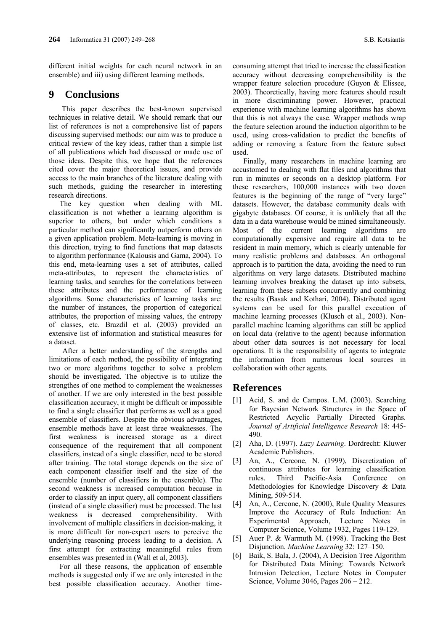different initial weights for each neural network in an ensemble) and iii) using different learning methods.

### **9 Conclusions**

This paper describes the best-known supervised techniques in relative detail. We should remark that our list of references is not a comprehensive list of papers discussing supervised methods: our aim was to produce a critical review of the key ideas, rather than a simple list of all publications which had discussed or made use of those ideas. Despite this, we hope that the references cited cover the major theoretical issues, and provide access to the main branches of the literature dealing with such methods, guiding the researcher in interesting research directions.

The key question when dealing with ML classification is not whether a learning algorithm is superior to others, but under which conditions a particular method can significantly outperform others on a given application problem. Meta-learning is moving in this direction, trying to find functions that map datasets to algorithm performance (Kalousis and Gama, 2004). To this end, meta-learning uses a set of attributes, called meta-attributes, to represent the characteristics of learning tasks, and searches for the correlations between these attributes and the performance of learning algorithms. Some characteristics of learning tasks are: the number of instances, the proportion of categorical attributes, the proportion of missing values, the entropy of classes, etc. Brazdil et al. (2003) provided an extensive list of information and statistical measures for a dataset.

After a better understanding of the strengths and limitations of each method, the possibility of integrating two or more algorithms together to solve a problem should be investigated. The objective is to utilize the strengthes of one method to complement the weaknesses of another. If we are only interested in the best possible classification accuracy, it might be difficult or impossible to find a single classifier that performs as well as a good ensemble of classifiers. Despite the obvious advantages, ensemble methods have at least three weaknesses. The first weakness is increased storage as a direct consequence of the requirement that all component classifiers, instead of a single classifier, need to be stored after training. The total storage depends on the size of each component classifier itself and the size of the ensemble (number of classifiers in the ensemble). The second weakness is increased computation because in order to classify an input query, all component classifiers (instead of a single classifier) must be processed. The last weakness is decreased comprehensibility. With involvement of multiple classifiers in decision-making, it is more difficult for non-expert users to perceive the underlying reasoning process leading to a decision. A first attempt for extracting meaningful rules from ensembles was presented in (Wall et al, 2003).

For all these reasons, the application of ensemble methods is suggested only if we are only interested in the best possible classification accuracy. Another timeconsuming attempt that tried to increase the classification accuracy without decreasing comprehensibility is the wrapper feature selection procedure (Guyon & Elissee, 2003). Theoretically, having more features should result in more discriminating power. However, practical experience with machine learning algorithms has shown that this is not always the case. Wrapper methods wrap the feature selection around the induction algorithm to be used, using cross-validation to predict the benefits of adding or removing a feature from the feature subset used.

Finally, many researchers in machine learning are accustomed to dealing with flat files and algorithms that run in minutes or seconds on a desktop platform. For these researchers, 100,000 instances with two dozen features is the beginning of the range of "very large" datasets. However, the database community deals with gigabyte databases. Of course, it is unlikely that all the data in a data warehouse would be mined simultaneously. Most of the current learning algorithms are computationally expensive and require all data to be resident in main memory, which is clearly untenable for many realistic problems and databases. An orthogonal approach is to partition the data, avoiding the need to run algorithms on very large datasets. Distributed machine learning involves breaking the dataset up into subsets, learning from these subsets concurrently and combining the results (Basak and Kothari, 2004). Distributed agent systems can be used for this parallel execution of machine learning processes (Klusch et al., 2003). Nonparallel machine learning algorithms can still be applied on local data (relative to the agent) because information about other data sources is not necessary for local operations. It is the responsibility of agents to integrate the information from numerous local sources in collaboration with other agents.

# **References**

- [1] Acid, S. and de Campos. L.M. (2003). Searching for Bayesian Network Structures in the Space of Restricted Acyclic Partially Directed Graphs. *Journal of Artificial Intelligence Research* 18: 445- 490.
- [2] Aha, D. (1997). *Lazy Learning*. Dordrecht: Kluwer Academic Publishers.
- [3] An, A., Cercone, N. (1999), Discretization of continuous attributes for learning classification rules. Third Pacific-Asia Conference on Methodologies for Knowledge Discovery & Data Mining, 509-514.
- [4] An, A., Cercone, N. (2000), Rule Quality Measures Improve the Accuracy of Rule Induction: An Experimental Approach, Lecture Notes in Computer Science, Volume 1932, Pages 119-129.
- [5] Auer P. & Warmuth M. (1998). Tracking the Best Disjunction. *Machine Learning* 32: 127–150.
- [6] Baik, S. Bala, J. (2004), A Decision Tree Algorithm for Distributed Data Mining: Towards Network Intrusion Detection, Lecture Notes in Computer Science, Volume 3046, Pages 206 – 212.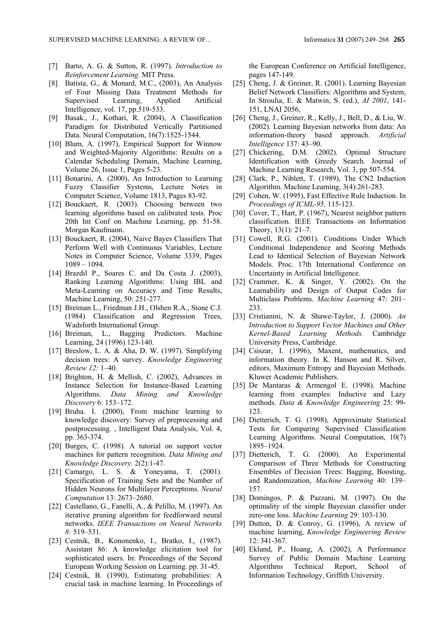- 
- [7] Barto, A. G. & Sutton, R. (1997). *Introduction to Reinforcement Learning.* MIT Press.
- [8] Batista, G., & Monard, M.C., (2003), An Analysis of Four Missing Data Treatment Methods for Supervised Learning, Applied Artificial Intelligence, vol. 17, pp.519-533.
- [9] Basak., J., Kothari, R. (2004), A Classification Paradigm for Distributed Vertically Partitioned Data. Neural Computation, 16(7):1525-1544.
- [10] Blum, A. (1997), Empirical Support for Winnow and Weighted-Majority Algorithms: Results on a Calendar Scheduling Domain, Machine Learning, Volume 26, Issue 1, Pages 5-23.
- [11] Bonarini, A. (2000), An Introduction to Learning Fuzzy Classifier Systems, Lecture Notes in Computer Science, Volume 1813, Pages 83-92.
- [12] Bouckaert, R. (2003). Choosing between two learning algorithms based on calibrated tests. Proc 20th Int Conf on Machine Learning, pp. 51-58. Morgan Kaufmann.
- [13] Bouckaert, R. (2004), Naive Bayes Classifiers That Perform Well with Continuous Variables, Lecture Notes in Computer Science, Volume 3339, Pages 1089 – 1094.
- [14] Brazdil P., Soares C. and Da Costa J. (2003), Ranking Learning Algorithms: Using IBL and Meta-Learning on Accuracy and Time Results, Machine Learning, 50: 251-277.
- [15] Breiman L., Friedman J.H., Olshen R.A., Stone C.J. (1984) Classification and Regression Trees, Wadsforth International Group.
- [16] Breiman, L., Bagging Predictors. Machine Learning, 24 (1996) 123-140.
- [17] Breslow, L. A. & Aha, D. W. (1997). Simplifying decision trees: A survey. *Knowledge Engineering Review 12:* 1–40.
- [18] Brighton, H. & Mellish, C. (2002), Advances in Instance Selection for Instance-Based Learning Algorithms. *Data Mining and Knowledge Discovery* 6: 153–172.
- [19] Bruha. I. (2000), From machine learning to knowledge discovery: Survey of preprocessing and postprocessing. , Intelligent Data Analysis, Vol. 4, pp. 363-374.
- [20] Burges, C. (1998). A tutorial on support vector machines for pattern recognition. *Data Mining and Knowledge Discovery.* 2(2):1-47.
- [21] Camargo, L. S. & Yoneyama, T. (2001). Specification of Training Sets and the Number of Hidden Neurons for Multilayer Perceptrons. *Neural Computation* 13: 2673–2680.
- [22] Castellano, G., Fanelli, A., & Pelillo, M. (1997). An iterative pruning algorithm for feedforward neural networks. *IEEE Transactions on Neural Networks 8:* 519–531.
- [23] Cestnik, B., Kononenko, I., Bratko, I., (1987). Assistant 86: A knowledge elicitation tool for sophisticated users. In: Proceedings of the Second European Working Session on Learning. pp. 31-45.
- [24] Cestnik, B. (1990), Estimating probabilities: A crucial task in machine learning. In Proceedings of

the European Conference on Artificial Intelligence, pages 147-149.

- [25] Cheng, J. & Greiner, R. (2001). Learning Bayesian Belief Network Classifiers: Algorithms and System, In Stroulia, E. & Matwin, S. (ed.), *AI 2001*, 141- 151, LNAI 2056,
- [26] Cheng, J., Greiner, R., Kelly, J., Bell, D., & Liu, W. (2002). Learning Bayesian networks from data: An information-theory based approach. *Artificial Intelligence* 137: 43–90.
- [27] Chickering, D.M. (2002). Optimal Structure Identification with Greedy Search. Journal of Machine Learning Research, Vol. 3, pp 507-554.
- [28] Clark, P., Niblett, T. (1989), The CN2 Induction Algorithm. Machine Learning, 3(4):261-283.
- [29] Cohen, W. (1995), Fast Effective Rule Induction. In *Proceedings of ICML-95,* 115-123.
- [30] Cover, T., Hart, P. (1967), Nearest neighbor pattern classification. IEEE Transactions on Information Theory, 13(1): 21–7.
- [31] Cowell, R.G. (2001). Conditions Under Which Conditional Independence and Scoring Methods Lead to Identical Selection of Bayesian Network Models. Proc. 17th International Conference on Uncertainty in Artificial Intelligence.
- [32] Crammer, K. & Singer, Y. (2002). On the Learnability and Design of Output Codes for Multiclass Problems. *Machine Learning* 47: 201– 233.
- [33] Cristianini, N. & Shawe-Taylor, J. (2000). *An Introduction to Support Vector Machines and Other Kernel-Based Learning Methods.* Cambridge University Press, Cambridge.
- [34] Csiszar, I. (1996), Maxent, mathematics, and information theory. In K. Hanson and R. Silver, editors, Maximum Entropy and Bayesian Methods. Kluwer Academic Publishers.
- [35] De Mantaras & Armengol E. (1998). Machine learning from examples: Inductive and Lazy methods. *Data & Knowledge Engineering* 25: 99- 123.
- [36] Dietterich, T. G. (1998), Approximate Statistical Tests for Comparing Supervised Classification Learning Algorithms. Neural Computation, 10(7) 1895–1924.
- [37] Dietterich, T. G. (2000). An Experimental Comparison of Three Methods for Constructing Ensembles of Decision Trees: Bagging, Boosting, and Randomization, *Machine Learning* 40: 139– 157.
- [38] Domingos, P. & Pazzani, M. (1997). On the optimality of the simple Bayesian classifier under zero-one loss. *Machine Learning* 29: 103-130.
- [39] Dutton, D. & Conroy, G. (1996), A review of machine learning, *Knowledge Engineering Review* 12: 341-367.
- [40] Eklund, P., Hoang, A. (2002), A Performance Survey of Public Domain Machine Learning Algorithms Technical Report, School of Information Technology, Griffith University.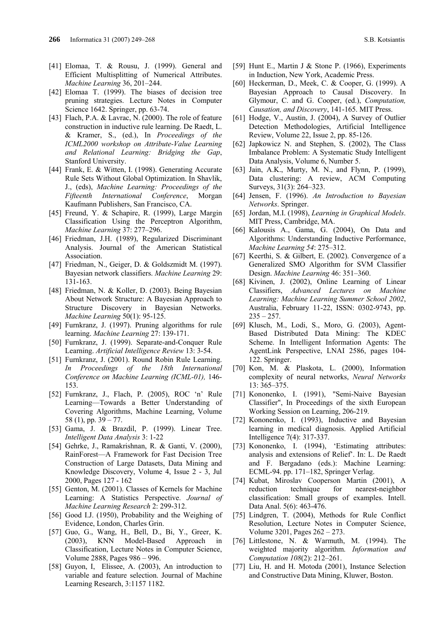- [41] Elomaa, T. & Rousu, J. (1999). General and Efficient Multisplitting of Numerical Attributes. *Machine Learning* 36, 201–244.
- [42] Elomaa T. (1999). The biases of decision tree pruning strategies. Lecture Notes in Computer Science 1642. Springer, pp. 63-74.
- [43] Flach, P.A. & Lavrac, N. (2000). The role of feature construction in inductive rule learning. De Raedt, L. & Kramer, S., (ed.), In *Proceedings of the ICML2000 workshop on Attribute-Value Learning and Relational Learning: Bridging the Gap*, Stanford University.
- [44] Frank, E. & Witten, I. (1998). Generating Accurate Rule Sets Without Global Optimization. In Shavlik, J., (eds), *Machine Learning: Proceedings of the Fifteenth International Conference*, Morgan Kaufmann Publishers, San Francisco, CA.
- [45] Freund, Y. & Schapire, R. (1999), Large Margin Classification Using the Perceptron Algorithm, *Machine Learning* 37: 277–296.
- [46] Friedman, J.H. (1989), Regularized Discriminant Analysis. Journal of the American Statistical Association.
- [47] Friedman, N., Geiger, D. & Goldszmidt M. (1997). Bayesian network classifiers. *Machine Learning* 29: 131-163.
- [48] Friedman, N. & Koller, D. (2003). Being Bayesian About Network Structure: A Bayesian Approach to Structure Discovery in Bayesian Networks. *Machine Learning* 50(1): 95-125.
- [49] Furnkranz, J. (1997). Pruning algorithms for rule learning. *Machine Learning* 27: 139-171.
- [50] Furnkranz, J. (1999). Separate-and-Conquer Rule Learning. *Artificial Intelligence Review* 13: 3-54.
- [51] Furnkranz, J. (2001). Round Robin Rule Learning. *In Proceedings of the 18th International Conference on Machine Learning (ICML-01),* 146- 153.
- [52] Furnkranz, J., Flach, P. (2005), ROC 'n' Rule Learning—Towards a Better Understanding of Covering Algorithms, Machine Learning, Volume 58 (1), pp. 39 – 77.
- [53] Gama, J. & Brazdil, P. (1999). Linear Tree. *Intelligent Data Analysis* 3: 1-22
- [54] Gehrke, J., Ramakrishnan, R. & Ganti, V. (2000), RainForest—A Framework for Fast Decision Tree Construction of Large Datasets, Data Mining and Knowledge Discovery, Volume 4, Issue 2 - 3, Jul 2000, Pages 127 - 162
- [55] Genton, M. (2001). Classes of Kernels for Machine Learning: A Statistics Perspective. *Journal of Machine Learning Research* 2: 299-312.
- [56] Good I.J. (1950), Probability and the Weighing of Evidence, London, Charles Grin.
- [57] Guo, G., Wang, H., Bell, D., Bi, Y., Greer, K. (2003), KNN Model-Based Approach in Classification, Lecture Notes in Computer Science, Volume 2888, Pages 986 – 996.
- [58] Guyon, I. Elissee, A. (2003), An introduction to variable and feature selection. Journal of Machine Learning Research, 3:1157 1182.
- [59] Hunt E., Martin J & Stone P. (1966), Experiments in Induction, New York, Academic Press.
- [60] Heckerman, D., Meek, C. & Cooper, G. (1999). A Bayesian Approach to Causal Discovery. In Glymour, C. and G. Cooper, (ed.), *Computation, Causation, and Discovery*, 141-165. MIT Press.
- [61] Hodge, V., Austin, J. (2004), A Survey of Outlier Detection Methodologies, Artificial Intelligence Review, Volume 22, Issue 2, pp. 85-126.
- [62] Japkowicz N. and Stephen, S. (2002), The Class Imbalance Problem: A Systematic Study Intelligent Data Analysis, Volume 6, Number 5.
- [63] Jain, A.K., Murty, M. N., and Flynn, P. (1999), Data clustering: A review, ACM Computing Surveys, 31(3): 264–323.
- [64] Jensen, F. (1996). *An Introduction to Bayesian Networks*. Springer.
- [65] Jordan, M.I. (1998), *Learning in Graphical Models*. MIT Press, Cambridge, MA.
- [66] Kalousis A., Gama, G. (2004), On Data and Algorithms: Understanding Inductive Performance, *Machine Learning 54*: 275–312.
- [67] Keerthi, S. & Gilbert, E. (2002). Convergence of a Generalized SMO Algorithm for SVM Classifier Design. *Machine Learning* 46: 351–360.
- [68] Kivinen, J. (2002), Online Learning of Linear Classifiers, *Advanced Lectures on Machine Learning: Machine Learning Summer School 2002*, Australia, February 11-22, ISSN: 0302-9743, pp.  $235 - 257$ .
- [69] Klusch, M., Lodi, S., Moro, G. (2003), Agent-Based Distributed Data Mining: The KDEC Scheme. In Intelligent Information Agents: The AgentLink Perspective, LNAI 2586, pages 104- 122. Springer.
- [70] Kon, M. & Plaskota, L. (2000), Information complexity of neural networks, *Neural Networks* 13: 365–375.
- [71] Kononenko, I. (1991), "Semi-Naive Bayesian Classifier", In Proceedings of the sixth European Working Session on Learning, 206-219.
- [72] Kononenko, I. (1993), Inductive and Bayesian learning in medical diagnosis. Applied Artificial Intelligence 7(4): 317-337.
- [73] Kononenko, I. (1994), 'Estimating attributes: analysis and extensions of Relief'. In: L. De Raedt and F. Bergadano (eds.): Machine Learning: ECML-94. pp. 171–182, Springer Verlag.
- [74] Kubat, Miroslav Cooperson Martin (2001), A reduction technique for nearest-neighbor classification: Small groups of examples. Intell. Data Anal. 5(6): 463-476.
- [75] Lindgren, T. (2004), Methods for Rule Conflict Resolution, Lecture Notes in Computer Science, Volume 3201, Pages 262 – 273.
- [76] Littlestone, N. & Warmuth, M. (1994). The weighted majority algorithm. *Information and Computation 108*(2): 212–261.
- [77] Liu, H. and H. Motoda (2001), Instance Selection and Constructive Data Mining, Kluwer, Boston.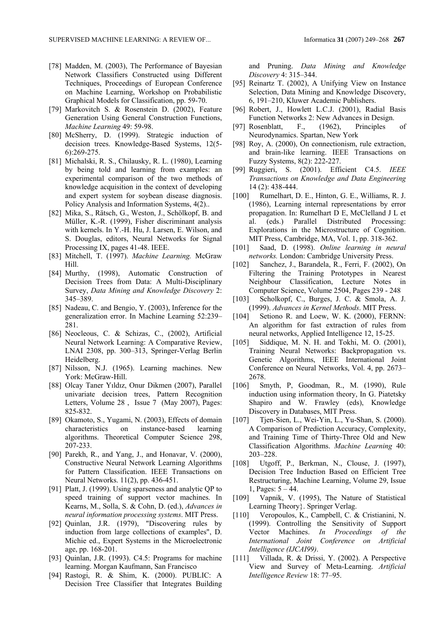- [78] Madden, M. (2003), The Performance of Bayesian Network Classifiers Constructed using Different Techniques, Proceedings of European Conference on Machine Learning, Workshop on Probabilistic Graphical Models for Classification, pp. 59-70.
- [79] Markovitch S. & Rosenstein D. (2002), Feature Generation Using General Construction Functions, *Machine Learning* 49: 59-98.
- [80] McSherry, D. (1999). Strategic induction of decision trees. Knowledge-Based Systems, 12(5- 6):269-275.
- [81] Michalski, R. S., Chilausky, R. L. (1980), Learning by being told and learning from examples: an experimental comparison of the two methods of knowledge acquisition in the context of developing and expert system for soybean disease diagnosis. Policy Analysis and Information Systems, 4(2)..
- [82] Mika, S., Rätsch, G., Weston, J., Schölkopf, B. and Müller, K.-R. (1999), Fisher discriminant analysis with kernels. In Y.-H. Hu, J. Larsen, E. Wilson, and S. Douglas, editors, Neural Networks for Signal Processing IX, pages 41-48. IEEE.
- [83] Mitchell, T. (1997). *Machine Learning.* McGraw Hill.
- [84] Murthy, (1998), Automatic Construction of Decision Trees from Data: A Multi-Disciplinary Survey, *Data Mining and Knowledge Discovery* 2: 345–389.
- [85] Nadeau, C. and Bengio, Y. (2003), Inference for the generalization error. In Machine Learning 52:239– 281.
- [86] Neocleous, C. & Schizas, C., (2002), Artificial Neural Network Learning: A Comparative Review, LNAI 2308, pp. 300–313, Springer-Verlag Berlin Heidelberg.
- [87] Nilsson, N.J. (1965). Learning machines. New York: McGraw-Hill.
- [88] Olcay Taner Yıldız, Onur Dikmen (2007), Parallel univariate decision trees, Pattern Recognition Letters, Volume 28 , Issue 7 (May 2007), Pages: 825-832.
- [89] Okamoto, S., Yugami, N. (2003), Effects of domain characteristics on instance-based learning algorithms. Theoretical Computer Science 298, 207-233.
- [90] Parekh, R., and Yang, J., and Honavar, V. (2000), Constructive Neural Network Learning Algorithms for Pattern Classification. IEEE Transactions on Neural Networks. 11(2), pp. 436-451.
- [91] Platt, J. (1999). Using sparseness and analytic QP to speed training of support vector machines. In Kearns, M., Solla, S. & Cohn, D. (ed.), *Advances in neural information processing systems*. MIT Press.
- [92] Quinlan, J.R. (1979), "Discovering rules by induction from large collections of examples", D. Michie ed., Expert Systems in the Microelectronic age, pp. 168-201.
- [93] Quinlan, J.R. (1993). C4.5: Programs for machine learning. Morgan Kaufmann, San Francisco
- [94] Rastogi, R. & Shim, K. (2000). PUBLIC: A Decision Tree Classifier that Integrates Building

and Pruning. *Data Mining and Knowledge Discovery* 4: 315–344.

- [95] Reinartz T. (2002), A Unifying View on Instance Selection, Data Mining and Knowledge Discovery, 6, 191–210, Kluwer Academic Publishers.
- [96] Robert, J., Howlett L.C.J. (2001), Radial Basis Function Networks 2: New Advances in Design.
- [97] Rosenblatt, F., (1962), Principles of Neurodynamics. Spartan, New York
- [98] Roy, A. (2000), On connectionism, rule extraction, and brain-like learning. IEEE Transactions on Fuzzy Systems, 8(2): 222-227.
- [99] Ruggieri, S. (2001). Efficient C4.5. *IEEE Transactions on Knowledge and Data Engineering* 14 (2): 438-444.
- [100] Rumelhart, D. E., Hinton, G. E., Williams, R. J. (1986), Learning internal representations by error propagation. In: Rumelhart D E, McClelland J L et al. (eds.) Parallel Distributed Processing: Explorations in the Microstructure of Cognition. MIT Press, Cambridge, MA, Vol. 1, pp. 318-362.
- [101] Saad, D. (1998). *Online learning in neural networks.* London: Cambridge University Press.
- [102] Sanchez, J., Barandela, R., Ferri, F. (2002), On Filtering the Training Prototypes in Nearest Neighbour Classification, Lecture Notes in Computer Science, Volume 2504, Pages 239 - 248
- [103] Scholkopf, C., Burges, J. C. & Smola, A. J. (1999). *Advances in Kernel Methods*. MIT Press.
- [104] Setiono R. and Loew, W. K. (2000), FERNN: An algorithm for fast extraction of rules from neural networks, Applied Intelligence 12, 15-25.
- [105] Siddique, M. N. H. and Tokhi, M. O. (2001), Training Neural Networks: Backpropagation vs. Genetic Algorithms, IEEE International Joint Conference on Neural Networks, Vol. 4, pp. 2673– 2678.
- [106] Smyth, P, Goodman, R., M. (1990), Rule induction using information theory, In G. Piatetsky Shapiro and W. Frawley (eds), Knowledge Discovery in Databases, MIT Press.
- [107] Tjen-Sien, L., Wei-Yin, L., Yu-Shan, S. (2000). A Comparison of Prediction Accuracy, Complexity, and Training Time of Thirty-Three Old and New Classification Algorithms. *Machine Learning* 40: 203–228.
- [108] Utgoff, P., Berkman, N., Clouse, J. (1997), Decision Tree Induction Based on Efficient Tree Restructuring, Machine Learning, Volume 29, Issue 1, Pages: 5 – 44.
- [109] Vapnik, V. (1995), The Nature of Statistical Learning Theory}. Springer Verlag.
- [110] Veropoulos, K., Campbell, C. & Cristianini, N. (1999). Controlling the Sensitivity of Support Vector Machines. *In Proceedings of the International Joint Conference on Artificial Intelligence (IJCAI99)*.
- [111] Villada, R. & Drissi, Y. (2002). A Perspective View and Survey of Meta-Learning. *Artificial Intelligence Review* 18: 77–95.